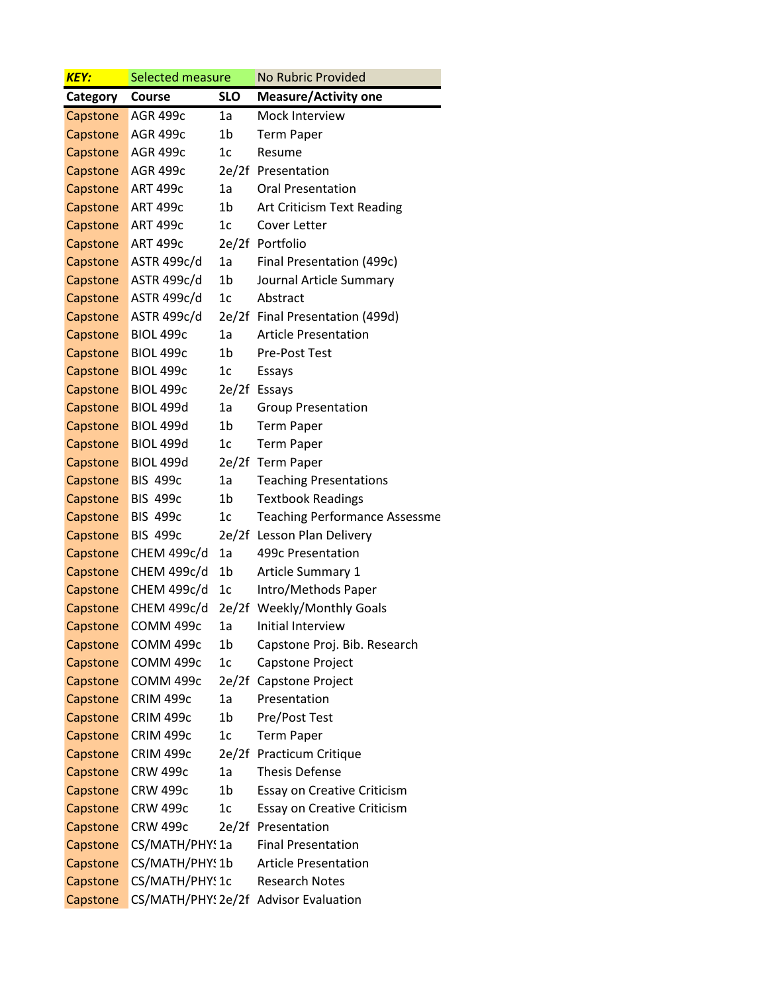| <b>KEY:</b> | Selected measure   |                | <b>No Rubric Provided</b>             |  |
|-------------|--------------------|----------------|---------------------------------------|--|
| Category    | Course             | <b>SLO</b>     | <b>Measure/Activity one</b>           |  |
| Capstone    | <b>AGR 499c</b>    | 1a             | Mock Interview                        |  |
| Capstone    | <b>AGR 499c</b>    | 1 <sub>b</sub> | <b>Term Paper</b>                     |  |
| Capstone    | <b>AGR 499c</b>    | 1c             | Resume                                |  |
| Capstone    | <b>AGR 499c</b>    |                | 2e/2f Presentation                    |  |
| Capstone    | <b>ART 499c</b>    | 1a             | <b>Oral Presentation</b>              |  |
| Capstone    | <b>ART 499c</b>    | 1b             | Art Criticism Text Reading            |  |
| Capstone    | <b>ART 499c</b>    | 1c             | Cover Letter                          |  |
| Capstone    | <b>ART 499c</b>    |                | 2e/2f Portfolio                       |  |
| Capstone    | ASTR 499c/d        | 1a             | Final Presentation (499c)             |  |
| Capstone    | ASTR 499c/d        | 1 <sub>b</sub> | Journal Article Summary               |  |
| Capstone    | ASTR 499c/d        | 1c             | Abstract                              |  |
| Capstone    | ASTR 499c/d        |                | 2e/2f Final Presentation (499d)       |  |
| Capstone    | <b>BIOL 499c</b>   | 1a             | <b>Article Presentation</b>           |  |
| Capstone    | <b>BIOL 499c</b>   | 1b             | Pre-Post Test                         |  |
| Capstone    | <b>BIOL 499c</b>   | 1c             | Essays                                |  |
| Capstone    | <b>BIOL 499c</b>   |                | 2e/2f Essays                          |  |
| Capstone    | <b>BIOL 499d</b>   | 1a             | <b>Group Presentation</b>             |  |
| Capstone    | <b>BIOL 499d</b>   | 1b             | <b>Term Paper</b>                     |  |
| Capstone    | <b>BIOL 499d</b>   | 1c             | <b>Term Paper</b>                     |  |
| Capstone    | <b>BIOL 499d</b>   |                | 2e/2f Term Paper                      |  |
| Capstone    | <b>BIS 499c</b>    | 1a             | <b>Teaching Presentations</b>         |  |
| Capstone    | <b>BIS 499c</b>    | 1b             | <b>Textbook Readings</b>              |  |
| Capstone    | <b>BIS 499c</b>    | 1c             | <b>Teaching Performance Assessme</b>  |  |
| Capstone    | <b>BIS 499c</b>    |                | 2e/2f Lesson Plan Delivery            |  |
| Capstone    | CHEM 499c/d        | 1a             | 499c Presentation                     |  |
| Capstone    | <b>CHEM 499c/d</b> | 1b             | Article Summary 1                     |  |
| Capstone    | <b>CHEM 499c/d</b> | 1c             | Intro/Methods Paper                   |  |
| Capstone    | CHEM 499c/d        | 2e/2f          | <b>Weekly/Monthly Goals</b>           |  |
| Capstone    | COMM 499c          | 1a             | Initial Interview                     |  |
| Capstone    | COMM 499c          | 1b             | Capstone Proj. Bib. Research          |  |
| Capstone    | COMM 499c          | 1c             | Capstone Project                      |  |
| Capstone    | COMM 499c          | 2e/2f          | Capstone Project                      |  |
| Capstone    | CRIM 499c          | 1a             | Presentation                          |  |
| Capstone    | CRIM 499c          | 1b             | Pre/Post Test                         |  |
| Capstone    | CRIM 499c          | 1c             | <b>Term Paper</b>                     |  |
| Capstone    | CRIM 499c          | 2e/2f          | <b>Practicum Critique</b>             |  |
| Capstone    | <b>CRW 499c</b>    | 1a             | <b>Thesis Defense</b>                 |  |
| Capstone    | <b>CRW 499c</b>    | 1 <sub>b</sub> | Essay on Creative Criticism           |  |
| Capstone    | <b>CRW 499c</b>    | 1c             | <b>Essay on Creative Criticism</b>    |  |
| Capstone    | <b>CRW 499c</b>    | 2e/2f          | Presentation                          |  |
| Capstone    | CS/MATH/PHY! 1a    |                | <b>Final Presentation</b>             |  |
| Capstone    | CS/MATH/PHY: 1b    |                | <b>Article Presentation</b>           |  |
| Capstone    | CS/MATH/PHY! 1c    |                | <b>Research Notes</b>                 |  |
| Capstone    |                    |                | CS/MATH/PHY: 2e/2f Advisor Evaluation |  |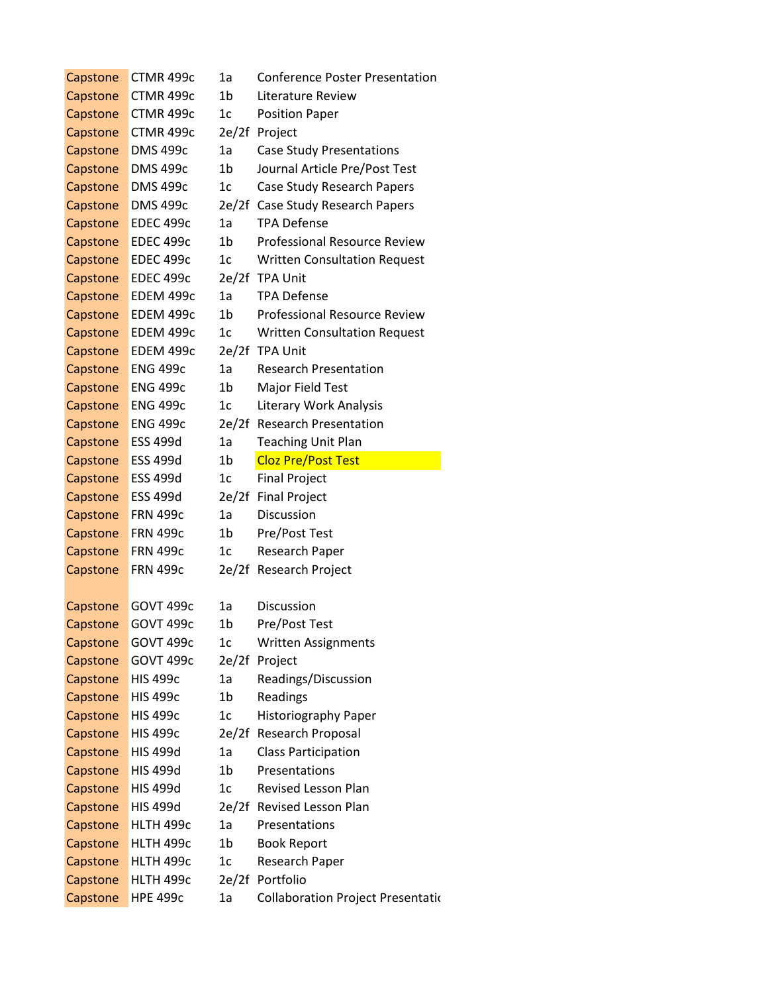| Capstone | CTMR 499c        | 1a             | <b>Conference Poster Presentation</b>     |
|----------|------------------|----------------|-------------------------------------------|
| Capstone | CTMR 499c        | 1b             | Literature Review                         |
| Capstone | CTMR 499c        | 1 <sub>c</sub> | <b>Position Paper</b>                     |
| Capstone | CTMR 499c        | 2e/2f          | Project                                   |
| Capstone | <b>DMS 499c</b>  | 1a             | <b>Case Study Presentations</b>           |
| Capstone | <b>DMS 499c</b>  | 1 <sub>b</sub> | Journal Article Pre/Post Test             |
| Capstone | <b>DMS 499c</b>  | 1c             | Case Study Research Papers                |
| Capstone | <b>DMS 499c</b>  |                | 2e/2f Case Study Research Papers          |
| Capstone | <b>EDEC 499c</b> | 1a             | <b>TPA Defense</b>                        |
| Capstone | <b>EDEC 499c</b> | 1 <sub>b</sub> | <b>Professional Resource Review</b>       |
| Capstone | <b>EDEC 499c</b> | 1 <sub>c</sub> | <b>Written Consultation Request</b>       |
| Capstone | <b>EDEC 499c</b> |                | 2e/2f TPA Unit                            |
| Capstone | EDEM 499c        | 1a             | <b>TPA Defense</b>                        |
| Capstone | EDEM 499c        | 1b             | Professional Resource Review              |
| Capstone | EDEM 499c        | 1c             | <b>Written Consultation Request</b>       |
| Capstone | EDEM 499c        |                | 2e/2f TPA Unit                            |
| Capstone | <b>ENG 499c</b>  | 1a             | <b>Research Presentation</b>              |
| Capstone | <b>ENG 499c</b>  | 1 <sub>b</sub> | Major Field Test                          |
| Capstone | <b>ENG 499c</b>  | 1 <sub>c</sub> | Literary Work Analysis                    |
| Capstone | <b>ENG 499c</b>  |                | 2e/2f Research Presentation               |
| Capstone | <b>ESS 499d</b>  | 1a             | <b>Teaching Unit Plan</b>                 |
| Capstone | <b>ESS 499d</b>  | 1 <sub>b</sub> | <b>Cloz Pre/Post Test</b>                 |
| Capstone | <b>ESS 499d</b>  | 1 <sub>c</sub> | <b>Final Project</b>                      |
| Capstone | <b>ESS 499d</b>  | 2e/2f          | <b>Final Project</b>                      |
| Capstone | <b>FRN 499c</b>  | 1a             | Discussion                                |
| Capstone | <b>FRN 499c</b>  | 1b             | Pre/Post Test                             |
| Capstone | <b>FRN 499c</b>  | 1 <sub>c</sub> | Research Paper                            |
| Capstone | <b>FRN 499c</b>  | 2e/2f          | Research Project                          |
|          |                  |                |                                           |
| Capstone | <b>GOVT 499c</b> | 1a             | Discussion                                |
| Capstone | <b>GOVT 499c</b> | 1b             | Pre/Post Test                             |
| Capstone | <b>GOVT 499c</b> | 1 <sub>c</sub> | <b>Written Assignments</b>                |
| Capstone | <b>GOVT 499c</b> | 2e/2f          | Project                                   |
| Capstone | <b>HIS 499c</b>  | 1a             | Readings/Discussion                       |
| Capstone | <b>HIS 499c</b>  | 1 <sub>b</sub> | Readings                                  |
| Capstone | <b>HIS 499c</b>  | 1c             | Historiography Paper                      |
| Capstone | <b>HIS 499c</b>  |                | 2e/2f Research Proposal                   |
| Capstone | <b>HIS 499d</b>  | 1a             | <b>Class Participation</b>                |
| Capstone | <b>HIS 499d</b>  | 1 <sub>b</sub> | Presentations                             |
| Capstone | <b>HIS 499d</b>  | 1 <sub>c</sub> | <b>Revised Lesson Plan</b>                |
| Capstone | <b>HIS 499d</b>  |                | 2e/2f Revised Lesson Plan                 |
| Capstone | <b>HLTH 499c</b> | 1a             | Presentations                             |
| Capstone | <b>HLTH 499c</b> | 1 <sub>b</sub> | <b>Book Report</b>                        |
| Capstone | HLTH 499c        | 1c             | Research Paper                            |
| Capstone | <b>HLTH 499c</b> |                | 2e/2f Portfolio                           |
| Capstone | <b>HPE 499c</b>  | 1a             | <b>Collaboration Project Presentation</b> |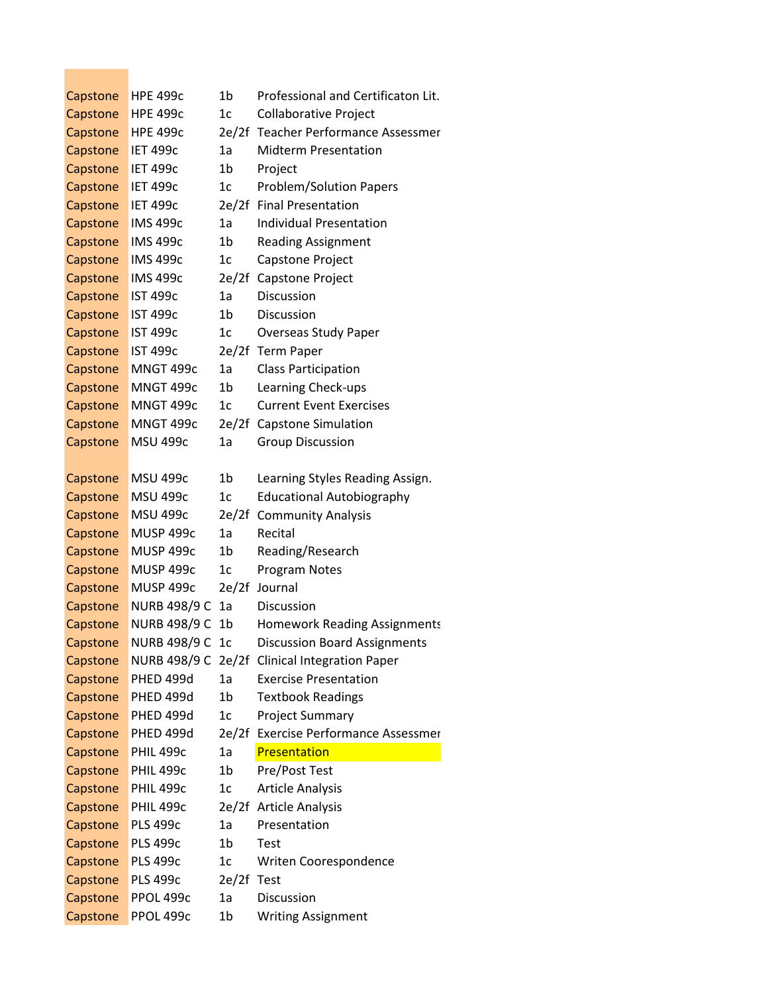| Capstone | <b>HPE 499c</b>     | 1b             | Professional and Certificaton Lit.   |
|----------|---------------------|----------------|--------------------------------------|
| Capstone | <b>HPE 499c</b>     | 1 <sub>c</sub> | <b>Collaborative Project</b>         |
| Capstone | <b>HPE 499c</b>     | 2e/2f          | Teacher Performance Assessmer        |
| Capstone | <b>IET 499c</b>     | 1a             | <b>Midterm Presentation</b>          |
| Capstone | <b>IET 499c</b>     | 1b             | Project                              |
| Capstone | <b>IET 499c</b>     | 1c             | <b>Problem/Solution Papers</b>       |
| Capstone | <b>IET 499c</b>     |                | 2e/2f Final Presentation             |
| Capstone | <b>IMS 499c</b>     | 1a             | <b>Individual Presentation</b>       |
| Capstone | <b>IMS 499c</b>     | 1b             | <b>Reading Assignment</b>            |
| Capstone | <b>IMS 499c</b>     | 1c             | Capstone Project                     |
| Capstone | <b>IMS 499c</b>     | 2e/2f          | Capstone Project                     |
| Capstone | <b>IST 499c</b>     | 1a             | Discussion                           |
| Capstone | <b>IST 499c</b>     | 1b             | Discussion                           |
| Capstone | <b>IST 499c</b>     | 1 <sub>c</sub> | Overseas Study Paper                 |
| Capstone | <b>IST 499c</b>     |                | 2e/2f Term Paper                     |
| Capstone | MNGT 499c           | 1a             | <b>Class Participation</b>           |
| Capstone | MNGT 499c           | 1b             | Learning Check-ups                   |
| Capstone | MNGT 499c           | 1c             | <b>Current Event Exercises</b>       |
| Capstone | MNGT 499c           |                | 2e/2f Capstone Simulation            |
| Capstone | <b>MSU 499c</b>     | 1a             | <b>Group Discussion</b>              |
|          |                     |                |                                      |
| Capstone | <b>MSU 499c</b>     | 1 <sub>b</sub> | Learning Styles Reading Assign.      |
| Capstone | <b>MSU 499c</b>     | 1 <sub>c</sub> | <b>Educational Autobiography</b>     |
| Capstone | <b>MSU 499c</b>     |                | 2e/2f Community Analysis             |
| Capstone | <b>MUSP 499c</b>    | 1a             | Recital                              |
| Capstone | <b>MUSP 499c</b>    | 1b             | Reading/Research                     |
| Capstone | <b>MUSP 499c</b>    | 1c             | Program Notes                        |
| Capstone | <b>MUSP 499c</b>    | 2e/2f          | Journal                              |
| Capstone | <b>NURB 498/9 C</b> | 1a             | <b>Discussion</b>                    |
| Capstone | <b>NURB 498/9 C</b> | 1b             | <b>Homework Reading Assignments</b>  |
| Capstone | <b>NURB 498/9 C</b> | 1 <sub>c</sub> | <b>Discussion Board Assignments</b>  |
| Capstone | <b>NURB 498/9 C</b> |                | 2e/2f Clinical Integration Paper     |
| Capstone | PHED 499d           | 1a             | <b>Exercise Presentation</b>         |
| Capstone | PHED 499d           | 1b             | <b>Textbook Readings</b>             |
| Capstone | PHED 499d           | 1 <sub>c</sub> | <b>Project Summary</b>               |
| Capstone | <b>PHED 499d</b>    |                | 2e/2f Exercise Performance Assessmer |
| Capstone | <b>PHIL 499c</b>    | 1a             | Presentation                         |
| Capstone | <b>PHIL 499c</b>    | 1 <sub>b</sub> | Pre/Post Test                        |
| Capstone | <b>PHIL 499c</b>    | 1c             | <b>Article Analysis</b>              |
| Capstone | <b>PHIL 499c</b>    |                | 2e/2f Article Analysis               |
| Capstone | <b>PLS 499c</b>     | 1a             | Presentation                         |
| Capstone | <b>PLS 499c</b>     | 1b             | Test                                 |
| Capstone | <b>PLS 499c</b>     | 1c             | Writen Coorespondence                |
| Capstone | <b>PLS 499c</b>     | 2e/2f          | <b>Test</b>                          |
| Capstone | PPOL 499c           | 1a             | Discussion                           |
| Capstone | PPOL 499c           | 1b             | <b>Writing Assignment</b>            |

 $\mathcal{L}^{\text{max}}_{\text{max}}$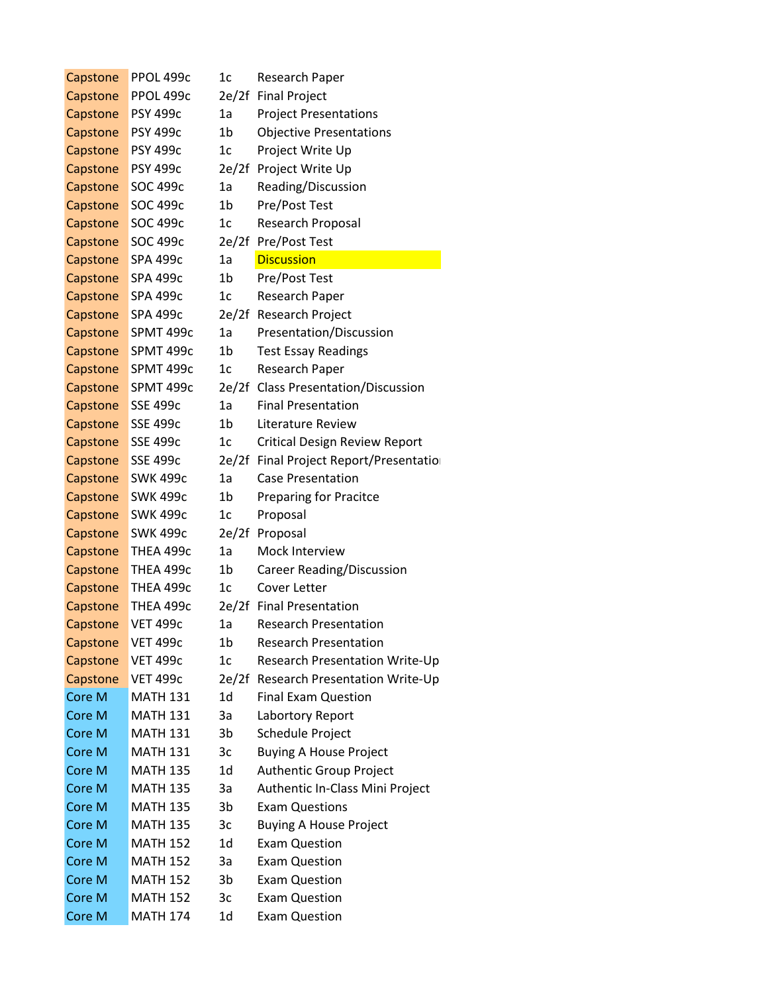| Capstone | PPOL 499c       | 1c             | Research Paper                         |
|----------|-----------------|----------------|----------------------------------------|
| Capstone | PPOL 499c       |                | 2e/2f Final Project                    |
| Capstone | <b>PSY 499c</b> | 1a             | <b>Project Presentations</b>           |
| Capstone | <b>PSY 499c</b> | 1 <sub>b</sub> | <b>Objective Presentations</b>         |
| Capstone | <b>PSY 499c</b> | 1c             | Project Write Up                       |
| Capstone | <b>PSY 499c</b> |                | 2e/2f Project Write Up                 |
| Capstone | SOC 499c        | 1a             | Reading/Discussion                     |
| Capstone | SOC 499c        | 1 <sub>b</sub> | Pre/Post Test                          |
| Capstone | SOC 499c        | 1 <sub>c</sub> | Research Proposal                      |
| Capstone | SOC 499c        |                | 2e/2f Pre/Post Test                    |
| Capstone | SPA 499c        | 1a             | <b>Discussion</b>                      |
| Capstone | SPA 499c        | 1b             | Pre/Post Test                          |
| Capstone | SPA 499c        | 1 <sub>c</sub> | Research Paper                         |
| Capstone | SPA 499c        |                | 2e/2f Research Project                 |
| Capstone | SPMT 499c       | 1a             | Presentation/Discussion                |
| Capstone | SPMT 499c       | 1b             | <b>Test Essay Readings</b>             |
| Capstone | SPMT 499c       | 1 <sub>c</sub> | Research Paper                         |
| Capstone | SPMT 499c       |                | 2e/2f Class Presentation/Discussion    |
| Capstone | <b>SSE 499c</b> | 1a             | <b>Final Presentation</b>              |
| Capstone | <b>SSE 499c</b> | 1 <sub>b</sub> | Literature Review                      |
| Capstone | <b>SSE 499c</b> | 1 <sub>c</sub> | <b>Critical Design Review Report</b>   |
| Capstone | <b>SSE 499c</b> |                | 2e/2f Final Project Report/Presentatio |
| Capstone | <b>SWK 499c</b> | 1a             | <b>Case Presentation</b>               |
| Capstone | <b>SWK 499c</b> | 1 <sub>b</sub> | <b>Preparing for Pracitce</b>          |
| Capstone | <b>SWK 499c</b> | 1 <sub>c</sub> | Proposal                               |
| Capstone | <b>SWK 499c</b> | 2e/2f          | Proposal                               |
| Capstone | THEA 499c       | 1a             | Mock Interview                         |
| Capstone | THEA 499c       | 1b             | Career Reading/Discussion              |
| Capstone | THEA 499c       | 1 <sub>c</sub> | Cover Letter                           |
| Capstone | THEA 499c       |                | 2e/2f Final Presentation               |
| Capstone | <b>VET 499c</b> | 1a             | <b>Research Presentation</b>           |
| Capstone | <b>VET 499c</b> | 1b             | <b>Research Presentation</b>           |
| Capstone | <b>VET 499c</b> | 1 <sub>c</sub> | Research Presentation Write-Up         |
| Capstone | <b>VET 499c</b> |                | 2e/2f Research Presentation Write-Up   |
| Core M   | <b>MATH 131</b> | 1d             | <b>Final Exam Question</b>             |
| Core M   | <b>MATH 131</b> | 3a             | Labortory Report                       |
| Core M   | <b>MATH 131</b> | 3 <sub>b</sub> | Schedule Project                       |
| Core M   | <b>MATH 131</b> | 3c             | <b>Buying A House Project</b>          |
| Core M   | <b>MATH 135</b> | 1d             | Authentic Group Project                |
| Core M   | <b>MATH 135</b> | 3a             | Authentic In-Class Mini Project        |
| Core M   | <b>MATH 135</b> | 3 <sub>b</sub> | <b>Exam Questions</b>                  |
| Core M   | <b>MATH 135</b> | 3c             | <b>Buying A House Project</b>          |
| Core M   | <b>MATH 152</b> | 1d             | <b>Exam Question</b>                   |
| Core M   | <b>MATH 152</b> | 3a             | <b>Exam Question</b>                   |
| Core M   | <b>MATH 152</b> | 3b             | <b>Exam Question</b>                   |
| Core M   | <b>MATH 152</b> | 3c             | <b>Exam Question</b>                   |
| Core M   | <b>MATH 174</b> | 1d             | <b>Exam Question</b>                   |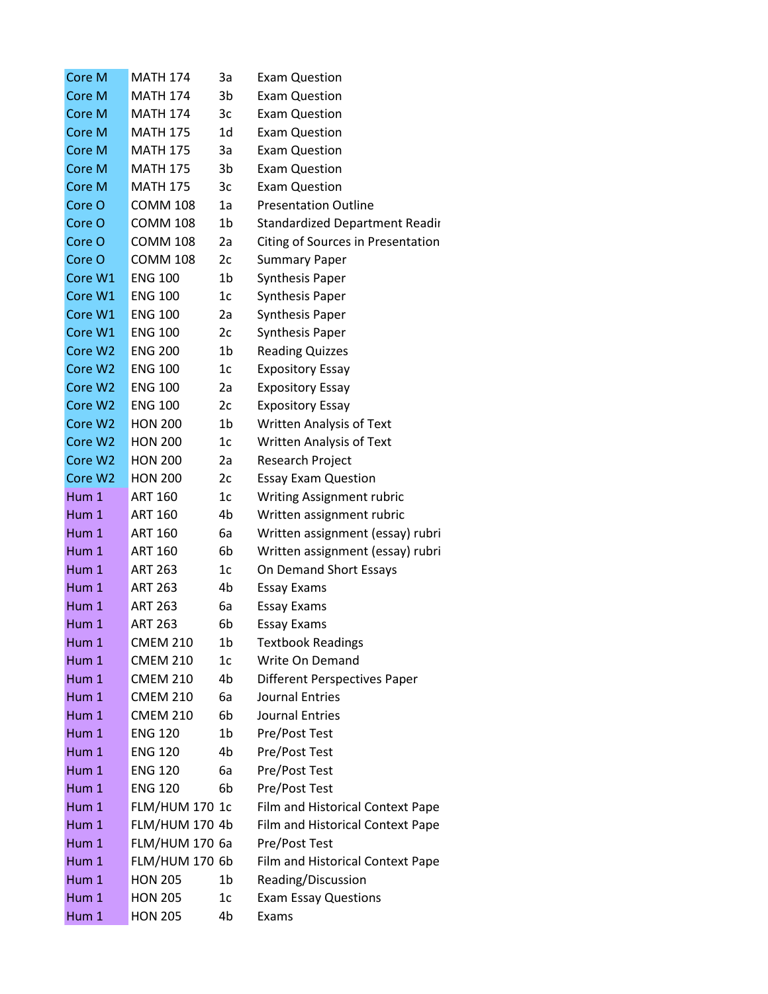| Core M  | <b>MATH 174</b>       | За             | Exam Question                         |
|---------|-----------------------|----------------|---------------------------------------|
| Core M  | <b>MATH 174</b>       | 3b             | <b>Exam Question</b>                  |
| Core M  | <b>MATH 174</b>       | 3c             | <b>Exam Question</b>                  |
| Core M  | <b>MATH 175</b>       | 1d             | <b>Exam Question</b>                  |
| Core M  | <b>MATH 175</b>       | 3a             | <b>Exam Question</b>                  |
| Core M  | <b>MATH 175</b>       | 3b             | <b>Exam Question</b>                  |
| Core M  | <b>MATH 175</b>       | 3c             | <b>Exam Question</b>                  |
| Core O  | <b>COMM 108</b>       | 1a             | <b>Presentation Outline</b>           |
| Core O  | <b>COMM 108</b>       | 1b             | <b>Standardized Department Readir</b> |
| Core O  | <b>COMM 108</b>       | 2a             | Citing of Sources in Presentation     |
| Core O  | <b>COMM 108</b>       | 2c             | <b>Summary Paper</b>                  |
| Core W1 | <b>ENG 100</b>        | 1b             | <b>Synthesis Paper</b>                |
| Core W1 | <b>ENG 100</b>        | 1 <sub>c</sub> | <b>Synthesis Paper</b>                |
| Core W1 | <b>ENG 100</b>        | 2a             | <b>Synthesis Paper</b>                |
| Core W1 | <b>ENG 100</b>        | 2c             | <b>Synthesis Paper</b>                |
| Core W2 | <b>ENG 200</b>        | 1b             | <b>Reading Quizzes</b>                |
| Core W2 | <b>ENG 100</b>        | 1 <sub>c</sub> | <b>Expository Essay</b>               |
| Core W2 | <b>ENG 100</b>        | 2a             | <b>Expository Essay</b>               |
| Core W2 | <b>ENG 100</b>        | 2c             | <b>Expository Essay</b>               |
| Core W2 | <b>HON 200</b>        | 1 <sub>b</sub> | <b>Written Analysis of Text</b>       |
| Core W2 | <b>HON 200</b>        | 1 <sub>c</sub> | <b>Written Analysis of Text</b>       |
| Core W2 | <b>HON 200</b>        | 2a             | Research Project                      |
| Core W2 | <b>HON 200</b>        | 2c             | <b>Essay Exam Question</b>            |
| Hum 1   | <b>ART 160</b>        | 1 <sub>c</sub> | <b>Writing Assignment rubric</b>      |
| Hum 1   | <b>ART 160</b>        | 4b             | Written assignment rubric             |
| Hum 1   | <b>ART 160</b>        | 6a             | Written assignment (essay) rubri      |
| Hum 1   | <b>ART 160</b>        | 6b             | Written assignment (essay) rubri      |
| Hum 1   | <b>ART 263</b>        | 1 <sub>c</sub> | On Demand Short Essays                |
| Hum 1   | <b>ART 263</b>        | 4b             | <b>Essay Exams</b>                    |
| Hum 1   | <b>ART 263</b>        | 6a             | <b>Essay Exams</b>                    |
| Hum 1   | ART 263               | 6h             | Essay Exams                           |
| Hum 1   | <b>CMEM 210</b>       | 1b             | <b>Textbook Readings</b>              |
| Hum 1   | <b>CMEM 210</b>       | 1c             | Write On Demand                       |
| Hum 1   | <b>CMEM 210</b>       | 4b             | <b>Different Perspectives Paper</b>   |
| Hum 1   | <b>CMEM 210</b>       | 6а             | <b>Journal Entries</b>                |
| Hum 1   | <b>CMEM 210</b>       | 6b             | Journal Entries                       |
| Hum 1   | <b>ENG 120</b>        | 1 <sub>b</sub> | Pre/Post Test                         |
| Hum 1   | <b>ENG 120</b>        | 4b             | Pre/Post Test                         |
| Hum 1   | <b>ENG 120</b>        | 6а             | Pre/Post Test                         |
| Hum 1   | <b>ENG 120</b>        | 6b             | Pre/Post Test                         |
| Hum 1   | <b>FLM/HUM 170 1c</b> |                | Film and Historical Context Pape      |
| Hum 1   | <b>FLM/HUM 170 4b</b> |                | Film and Historical Context Pape      |
| Hum 1   | <b>FLM/HUM 170 6a</b> |                | Pre/Post Test                         |
| Hum 1   | <b>FLM/HUM 170 6b</b> |                | Film and Historical Context Pape      |
| Hum 1   | <b>HON 205</b>        | 1b             | Reading/Discussion                    |
| Hum 1   | <b>HON 205</b>        | 1c             | <b>Exam Essay Questions</b>           |
| Hum 1   | <b>HON 205</b>        | 4b             | Exams                                 |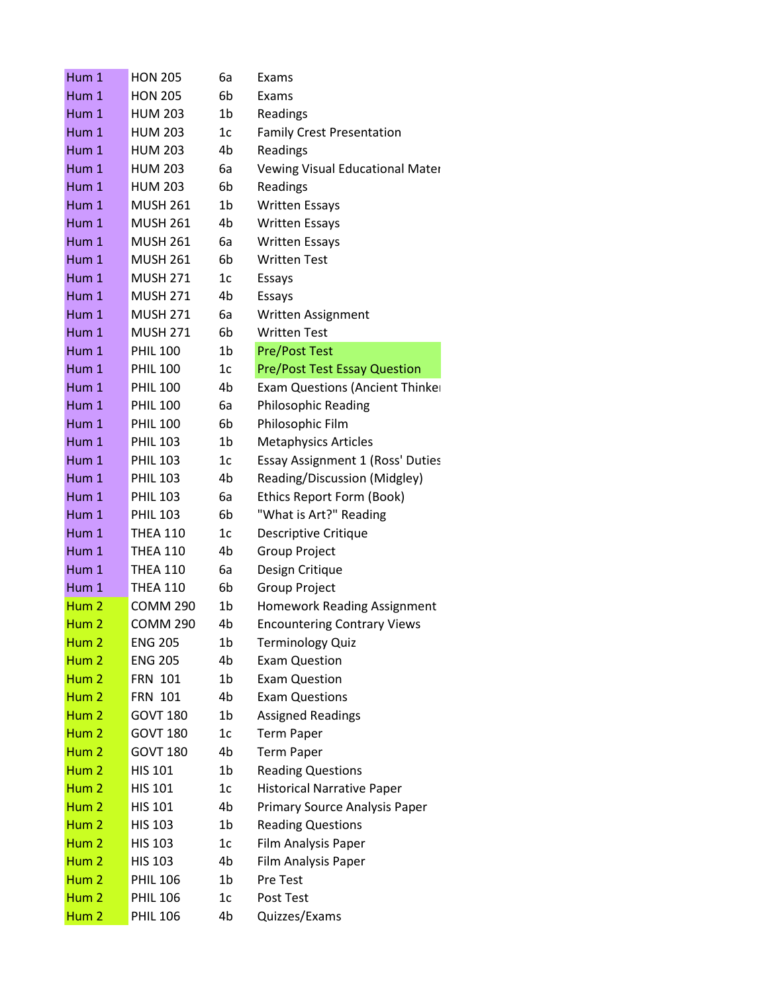| Hum 1            | <b>HON 205</b>  | 6a             | Exams                                   |
|------------------|-----------------|----------------|-----------------------------------------|
| Hum 1            | <b>HON 205</b>  | 6b             | Exams                                   |
| Hum 1            | <b>HUM 203</b>  | 1b             | Readings                                |
| Hum 1            | <b>HUM 203</b>  | 1c             | <b>Family Crest Presentation</b>        |
| Hum <sub>1</sub> | <b>HUM 203</b>  | 4b             | Readings                                |
| Hum 1            | <b>HUM 203</b>  | 6a             | Vewing Visual Educational Mater         |
| Hum 1            | <b>HUM 203</b>  | 6b             | Readings                                |
| Hum 1            | <b>MUSH 261</b> | 1b             | <b>Written Essays</b>                   |
| Hum 1            | <b>MUSH 261</b> | 4b             | <b>Written Essays</b>                   |
| Hum 1            | <b>MUSH 261</b> | 6a             | <b>Written Essays</b>                   |
| Hum 1            | <b>MUSH 261</b> | 6 <sub>b</sub> | <b>Written Test</b>                     |
| Hum 1            | <b>MUSH 271</b> | 1 <sub>c</sub> | Essays                                  |
| Hum 1            | <b>MUSH 271</b> | 4b             | Essays                                  |
| Hum 1            | <b>MUSH 271</b> | 6a             | Written Assignment                      |
| Hum 1            | <b>MUSH 271</b> | 6 <sub>b</sub> | <b>Written Test</b>                     |
| Hum 1            | <b>PHIL 100</b> | 1b             | <b>Pre/Post Test</b>                    |
| Hum 1            | <b>PHIL 100</b> | 1 <sub>c</sub> | <b>Pre/Post Test Essay Question</b>     |
| Hum 1            | <b>PHIL 100</b> | 4b             | <b>Exam Questions (Ancient Thinker</b>  |
| Hum 1            | <b>PHIL 100</b> | 6а             | Philosophic Reading                     |
| Hum 1            | <b>PHIL 100</b> | 6b             | Philosophic Film                        |
| Hum 1            | <b>PHIL 103</b> | 1b             | <b>Metaphysics Articles</b>             |
| Hum 1            | <b>PHIL 103</b> | 1 <sub>c</sub> | <b>Essay Assignment 1 (Ross' Duties</b> |
| Hum 1            | <b>PHIL 103</b> | 4b             | Reading/Discussion (Midgley)            |
| Hum 1            | <b>PHIL 103</b> | 6a             | Ethics Report Form (Book)               |
| Hum 1            | <b>PHIL 103</b> | 6b             | "What is Art?" Reading                  |
| Hum 1            | <b>THEA 110</b> | 1 <sub>c</sub> | Descriptive Critique                    |
| Hum 1            | <b>THEA 110</b> | 4b             | <b>Group Project</b>                    |
| Hum 1            | <b>THEA 110</b> | 6a             | Design Critique                         |
| Hum 1            | <b>THEA 110</b> | 6b             | <b>Group Project</b>                    |
| Hum <sub>2</sub> | <b>COMM 290</b> | 1b             | <b>Homework Reading Assignment</b>      |
| Hum <sub>2</sub> | <b>COMM 290</b> | 4b             | <b>Encountering Contrary Views</b>      |
| Hum <sub>2</sub> | <b>ENG 205</b>  | 1b             | <b>Terminology Quiz</b>                 |
| Hum <sub>2</sub> | <b>ENG 205</b>  | 4b             | <b>Exam Question</b>                    |
| Hum <sub>2</sub> | <b>FRN 101</b>  | 1b             | <b>Exam Question</b>                    |
| Hum <sub>2</sub> | <b>FRN 101</b>  | 4b             | <b>Exam Questions</b>                   |
| Hum <sub>2</sub> | <b>GOVT 180</b> | 1 <sub>b</sub> | <b>Assigned Readings</b>                |
| Hum <sub>2</sub> | <b>GOVT 180</b> | 1 <sub>c</sub> | <b>Term Paper</b>                       |
| Hum <sub>2</sub> | <b>GOVT 180</b> | 4b             | <b>Term Paper</b>                       |
| Hum <sub>2</sub> | <b>HIS 101</b>  | 1b             | <b>Reading Questions</b>                |
| Hum <sub>2</sub> | <b>HIS 101</b>  | 1c             | <b>Historical Narrative Paper</b>       |
| Hum <sub>2</sub> | <b>HIS 101</b>  | 4b             | Primary Source Analysis Paper           |
| Hum <sub>2</sub> | <b>HIS 103</b>  | 1b             | <b>Reading Questions</b>                |
| Hum <sub>2</sub> | <b>HIS 103</b>  | 1c             | Film Analysis Paper                     |
| $H$ um $2$       | <b>HIS 103</b>  | 4b             | Film Analysis Paper                     |
| Hum <sub>2</sub> | <b>PHIL 106</b> | 1b             | Pre Test                                |
| Hum <sub>2</sub> | <b>PHIL 106</b> | 1c             | Post Test                               |
| Hum <sub>2</sub> | <b>PHIL 106</b> | 4b             | Quizzes/Exams                           |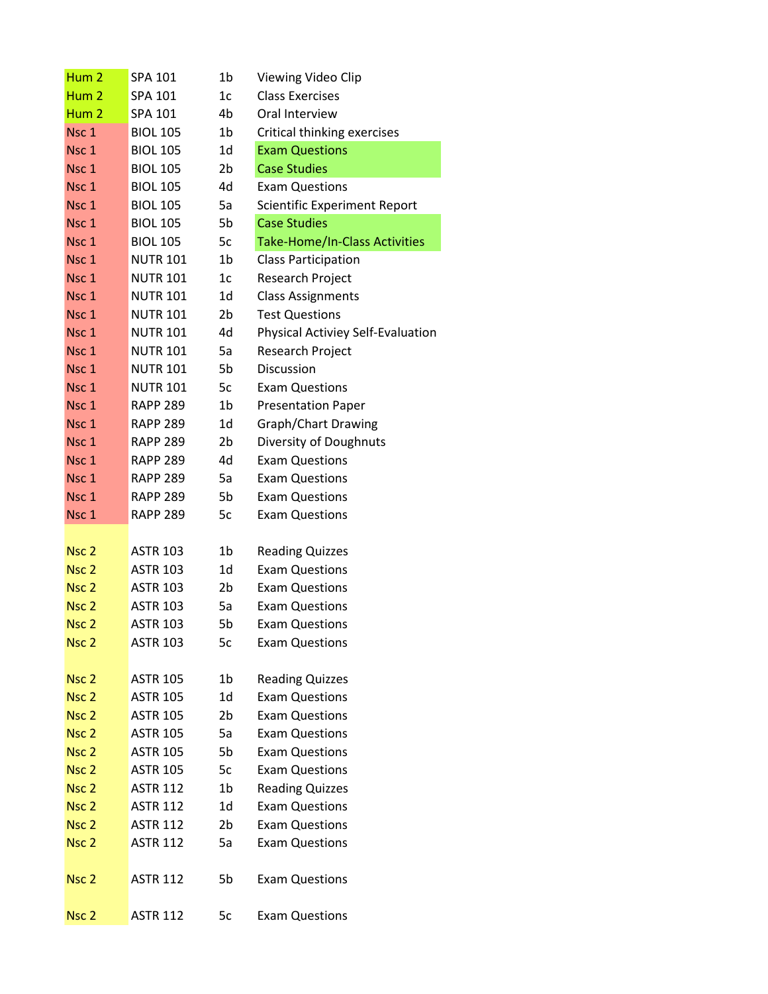| Hum <sub>2</sub>                     | SPA 101                            | 1b             | Viewing Video Clip                              |
|--------------------------------------|------------------------------------|----------------|-------------------------------------------------|
| Hum <sub>2</sub>                     | SPA 101                            | 1 <sub>c</sub> | <b>Class Exercises</b>                          |
| Hum <sub>2</sub>                     | SPA 101                            | 4b             | Oral Interview                                  |
| Nsc 1                                | <b>BIOL 105</b>                    | 1b             | Critical thinking exercises                     |
| Nsc 1                                | <b>BIOL 105</b>                    | 1d             | <b>Exam Questions</b>                           |
| Nsc 1                                | <b>BIOL 105</b>                    | 2b             | <b>Case Studies</b>                             |
| Nsc 1                                | <b>BIOL 105</b>                    | 4d             | <b>Exam Questions</b>                           |
| Nsc 1                                | <b>BIOL 105</b>                    | 5a             | Scientific Experiment Report                    |
| Nsc 1                                | <b>BIOL 105</b>                    | 5b             | <b>Case Studies</b>                             |
| Nsc 1                                | <b>BIOL 105</b>                    | 5c             | <b>Take-Home/In-Class Activities</b>            |
| Nsc 1                                | <b>NUTR 101</b>                    | 1b             | <b>Class Participation</b>                      |
| Nsc 1                                | <b>NUTR 101</b>                    | 1 <sub>c</sub> | Research Project                                |
| Nsc 1                                | <b>NUTR 101</b>                    | 1d             | <b>Class Assignments</b>                        |
| Nsc 1                                | <b>NUTR 101</b>                    | 2b             | <b>Test Questions</b>                           |
| Nsc <sub>1</sub>                     | <b>NUTR 101</b>                    | 4d             | Physical Activiey Self-Evaluation               |
| Nsc 1                                | <b>NUTR 101</b>                    | 5a             | Research Project                                |
| Nsc 1                                | <b>NUTR 101</b>                    | 5b             | Discussion                                      |
| Nsc 1                                | <b>NUTR 101</b>                    | 5c             | <b>Exam Questions</b>                           |
| Nsc <sub>1</sub>                     | <b>RAPP 289</b>                    | 1b             | <b>Presentation Paper</b>                       |
| Nsc 1                                | <b>RAPP 289</b>                    | 1d             | Graph/Chart Drawing                             |
| Nsc 1                                | <b>RAPP 289</b>                    | 2b             | Diversity of Doughnuts                          |
| Nsc 1                                | <b>RAPP 289</b>                    | 4d             | <b>Exam Questions</b>                           |
| Nsc <sub>1</sub>                     | <b>RAPP 289</b>                    | 5a             | <b>Exam Questions</b>                           |
| Nsc 1                                | <b>RAPP 289</b>                    | 5b             | <b>Exam Questions</b>                           |
| Nsc 1                                | <b>RAPP 289</b>                    | 5c             | <b>Exam Questions</b>                           |
|                                      |                                    |                |                                                 |
| Nsc <sub>2</sub>                     | <b>ASTR 103</b>                    | 1b             | <b>Reading Quizzes</b>                          |
| Nsc <sub>2</sub>                     | <b>ASTR 103</b>                    | 1d             | <b>Exam Questions</b>                           |
| Nsc <sub>2</sub>                     | <b>ASTR 103</b>                    | 2b             | <b>Exam Questions</b>                           |
| Nsc <sub>2</sub>                     | <b>ASTR 103</b>                    | 5a             | <b>Exam Questions</b>                           |
| Nsc <sub>2</sub>                     | <b>ASTR 103</b>                    | 5b             | <b>Exam Questions</b>                           |
| Nsc <sub>2</sub>                     | <b>ASTR 103</b>                    | 5c             | <b>Exam Questions</b>                           |
|                                      |                                    |                |                                                 |
| Nsc <sub>2</sub><br>Nsc <sub>2</sub> | <b>ASTR 105</b><br><b>ASTR 105</b> | 1b<br>1d       | <b>Reading Quizzes</b><br><b>Exam Questions</b> |
| Nsc <sub>2</sub>                     | <b>ASTR 105</b>                    | 2b             | <b>Exam Questions</b>                           |
| Nsc <sub>2</sub>                     | <b>ASTR 105</b>                    | 5a             | <b>Exam Questions</b>                           |
| Nsc <sub>2</sub>                     | <b>ASTR 105</b>                    | 5b             | <b>Exam Questions</b>                           |
| Nsc <sub>2</sub>                     | <b>ASTR 105</b>                    | 5c             | <b>Exam Questions</b>                           |
| Nsc <sub>2</sub>                     | <b>ASTR 112</b>                    | 1b             | <b>Reading Quizzes</b>                          |
| Nsc <sub>2</sub>                     | <b>ASTR 112</b>                    | 1d             | <b>Exam Questions</b>                           |
| Nsc <sub>2</sub>                     | <b>ASTR 112</b>                    | 2b             | <b>Exam Questions</b>                           |
| Nsc <sub>2</sub>                     | <b>ASTR 112</b>                    | 5a             | <b>Exam Questions</b>                           |
|                                      |                                    |                |                                                 |
| Nsc <sub>2</sub>                     | <b>ASTR 112</b>                    | 5b             | <b>Exam Questions</b>                           |
|                                      |                                    |                |                                                 |
| Nsc <sub>2</sub>                     | <b>ASTR 112</b>                    | 5c             | <b>Exam Questions</b>                           |
|                                      |                                    |                |                                                 |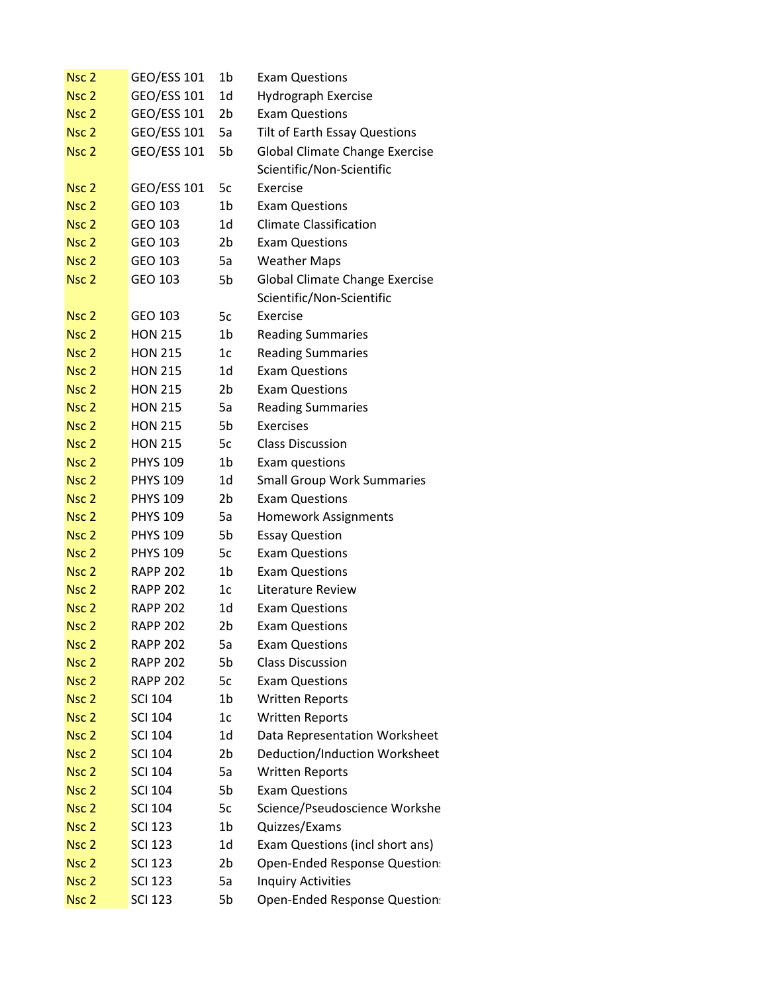| Nsc <sub>2</sub> | <b>GEO/ESS 101</b> | 1b             | <b>Exam Questions</b>                 |
|------------------|--------------------|----------------|---------------------------------------|
| Nsc <sub>2</sub> | <b>GEO/ESS 101</b> | 1d             | Hydrograph Exercise                   |
| Nsc <sub>2</sub> | GEO/ESS 101        | 2b             | <b>Exam Questions</b>                 |
| Nsc <sub>2</sub> | GEO/ESS 101        | 5a             | Tilt of Earth Essay Questions         |
| Nsc <sub>2</sub> | GEO/ESS 101        | 5b             | <b>Global Climate Change Exercise</b> |
|                  |                    |                | Scientific/Non-Scientific             |
| Nsc <sub>2</sub> | GEO/ESS 101        | 5c             | Exercise                              |
| Nsc <sub>2</sub> | GEO 103            | 1 <sub>b</sub> | <b>Exam Questions</b>                 |
| Nsc <sub>2</sub> | GEO 103            | 1d             | <b>Climate Classification</b>         |
| Nsc <sub>2</sub> | GEO 103            | 2b             | <b>Exam Questions</b>                 |
| Nsc <sub>2</sub> | GEO 103            | 5a             | <b>Weather Maps</b>                   |
| Nsc <sub>2</sub> | GEO 103            | 5b             | <b>Global Climate Change Exercise</b> |
|                  |                    |                | Scientific/Non-Scientific             |
| Nsc <sub>2</sub> | GEO 103            | 5c             | Exercise                              |
| Nsc <sub>2</sub> | <b>HON 215</b>     | 1b             | <b>Reading Summaries</b>              |
| Nsc <sub>2</sub> | <b>HON 215</b>     | 1c             | <b>Reading Summaries</b>              |
| Nsc <sub>2</sub> | <b>HON 215</b>     | 1d             | <b>Exam Questions</b>                 |
| Nsc <sub>2</sub> | <b>HON 215</b>     | 2 <sub>b</sub> | <b>Exam Questions</b>                 |
| Nsc <sub>2</sub> | <b>HON 215</b>     | 5a             | <b>Reading Summaries</b>              |
| Nsc <sub>2</sub> | <b>HON 215</b>     | 5b             | Exercises                             |
| Nsc <sub>2</sub> | <b>HON 215</b>     | 5c             | <b>Class Discussion</b>               |
| Nsc <sub>2</sub> | <b>PHYS 109</b>    | 1b             | Exam questions                        |
| Nsc <sub>2</sub> | <b>PHYS 109</b>    | 1d             | <b>Small Group Work Summaries</b>     |
| Nsc <sub>2</sub> | <b>PHYS 109</b>    | 2b             | <b>Exam Questions</b>                 |
| Nsc <sub>2</sub> | <b>PHYS 109</b>    | 5a             | <b>Homework Assignments</b>           |
| Nsc <sub>2</sub> | <b>PHYS 109</b>    | 5b             | <b>Essay Question</b>                 |
| Nsc <sub>2</sub> | <b>PHYS 109</b>    | 5c             | <b>Exam Questions</b>                 |
| Nsc <sub>2</sub> | <b>RAPP 202</b>    | 1b             | <b>Exam Questions</b>                 |
| Nsc <sub>2</sub> | <b>RAPP 202</b>    | 1c             | Literature Review                     |
| Nsc <sub>2</sub> | <b>RAPP 202</b>    | 1d             | <b>Exam Questions</b>                 |
| Nsc <sub>2</sub> | <b>RAPP 202</b>    | 2b             | <b>Exam Questions</b>                 |
| Nsc <sub>2</sub> | <b>RAPP 202</b>    | 5a             | <b>Exam Questions</b>                 |
| Nsc <sub>2</sub> | <b>RAPP 202</b>    | 5b             | <b>Class Discussion</b>               |
| Nsc <sub>2</sub> | <b>RAPP 202</b>    | 5c             | <b>Exam Questions</b>                 |
| Nsc <sub>2</sub> | <b>SCI 104</b>     | 1 <sub>b</sub> | <b>Written Reports</b>                |
| Nsc <sub>2</sub> | <b>SCI 104</b>     | 1c             | <b>Written Reports</b>                |
| Nsc <sub>2</sub> | <b>SCI 104</b>     | 1 <sub>d</sub> | Data Representation Worksheet         |
| Nsc <sub>2</sub> | <b>SCI 104</b>     | 2b             | Deduction/Induction Worksheet         |
| Nsc <sub>2</sub> | <b>SCI 104</b>     | 5a             | <b>Written Reports</b>                |
| Nsc <sub>2</sub> | <b>SCI 104</b>     | 5b             | <b>Exam Questions</b>                 |
| Nsc <sub>2</sub> | <b>SCI 104</b>     | 5c             | Science/Pseudoscience Workshe         |
| Nsc <sub>2</sub> | <b>SCI 123</b>     | 1 <sub>b</sub> | Quizzes/Exams                         |
| Nsc <sub>2</sub> | <b>SCI 123</b>     | 1 <sub>d</sub> | Exam Questions (incl short ans)       |
| Nsc <sub>2</sub> | <b>SCI 123</b>     | 2b             | Open-Ended Response Question:         |
| Nsc <sub>2</sub> | <b>SCI 123</b>     | 5a             | <b>Inquiry Activities</b>             |
| Nsc <sub>2</sub> | <b>SCI 123</b>     | 5b             | Open-Ended Response Question:         |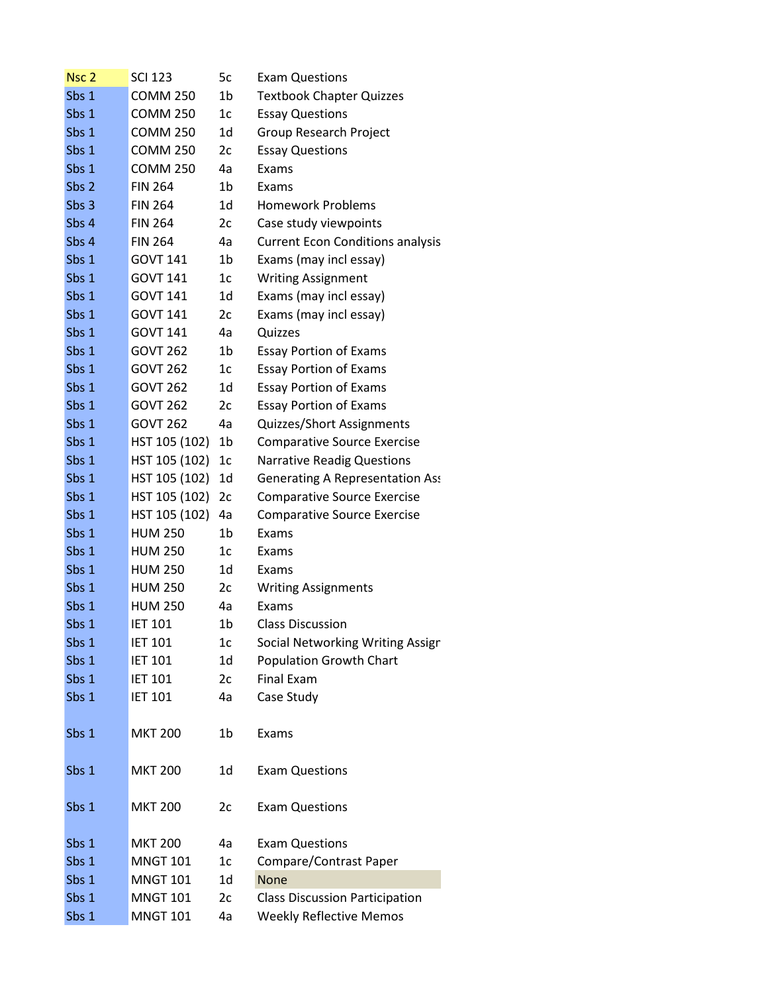| Nsc <sub>2</sub> | <b>SCI 123</b>  | 5c             | <b>Exam Questions</b>                   |
|------------------|-----------------|----------------|-----------------------------------------|
| Sbs 1            | <b>COMM 250</b> | 1b             | <b>Textbook Chapter Quizzes</b>         |
| Sbs 1            | <b>COMM 250</b> | 1 <sub>c</sub> | <b>Essay Questions</b>                  |
| Sbs 1            | <b>COMM 250</b> | 1d             | Group Research Project                  |
| Sbs 1            | <b>COMM 250</b> | 2c             | <b>Essay Questions</b>                  |
| Sbs 1            | <b>COMM 250</b> | 4a             | Exams                                   |
| Sbs 2            | <b>FIN 264</b>  | 1b             | Exams                                   |
| Sbs 3            | <b>FIN 264</b>  | 1d             | <b>Homework Problems</b>                |
| Sbs 4            | <b>FIN 264</b>  | 2c             | Case study viewpoints                   |
| Sbs 4            | <b>FIN 264</b>  | 4a             | <b>Current Econ Conditions analysis</b> |
| Sbs 1            | <b>GOVT 141</b> | 1b             | Exams (may incl essay)                  |
| Sbs 1            | <b>GOVT 141</b> | 1 <sub>c</sub> | <b>Writing Assignment</b>               |
| Sbs 1            | <b>GOVT 141</b> | 1d             | Exams (may incl essay)                  |
| Sbs 1            | <b>GOVT 141</b> | 2c             | Exams (may incl essay)                  |
| Sbs 1            | <b>GOVT 141</b> | 4a             | Quizzes                                 |
| Sbs 1            | <b>GOVT 262</b> | 1b             | <b>Essay Portion of Exams</b>           |
| Sbs 1            | <b>GOVT 262</b> | 1 <sub>c</sub> | <b>Essay Portion of Exams</b>           |
| Sbs 1            | <b>GOVT 262</b> | 1d             | <b>Essay Portion of Exams</b>           |
| Sbs 1            | <b>GOVT 262</b> | 2c             | <b>Essay Portion of Exams</b>           |
| Sbs 1            | <b>GOVT 262</b> | 4a             | Quizzes/Short Assignments               |
| Sbs 1            | HST 105 (102)   | 1b             | <b>Comparative Source Exercise</b>      |
| Sbs 1            | HST 105 (102)   | 1c             | <b>Narrative Readig Questions</b>       |
| Sbs 1            | HST 105 (102)   | 1 <sub>d</sub> | Generating A Representation Ass         |
| Sbs 1            | HST 105 (102)   | 2c             | <b>Comparative Source Exercise</b>      |
| Sbs 1            | HST 105 (102)   | 4a             | <b>Comparative Source Exercise</b>      |
| Sbs 1            | <b>HUM 250</b>  | 1 <sub>b</sub> | Exams                                   |
| Sbs 1            | <b>HUM 250</b>  | 1c             | Exams                                   |
| Sbs 1            | <b>HUM 250</b>  | 1d             | Exams                                   |
| Sbs 1            | <b>HUM 250</b>  | 2c             | <b>Writing Assignments</b>              |
| Sbs 1            | <b>HUM 250</b>  | 4a             | Exams                                   |
| Sbs 1            | <b>IET 101</b>  | 1b             | <b>Class Discussion</b>                 |
| Sbs 1            | <b>IET 101</b>  | 1c             | Social Networking Writing Assign        |
| Sbs 1            | <b>IET 101</b>  | 1 <sub>d</sub> | <b>Population Growth Chart</b>          |
| Sbs 1            | <b>IET 101</b>  | 2c             | Final Exam                              |
| Sbs 1            | <b>IET 101</b>  | 4a             | Case Study                              |
| Sbs 1            | <b>MKT 200</b>  | 1 <sub>b</sub> | Exams                                   |
| Sbs 1            | <b>MKT 200</b>  | 1d             | <b>Exam Questions</b>                   |
|                  |                 |                |                                         |
| Sbs 1            | <b>MKT 200</b>  | 2c             | <b>Exam Questions</b>                   |
| Sbs 1            | <b>MKT 200</b>  | 4a             | <b>Exam Questions</b>                   |
| Sbs 1            | <b>MNGT 101</b> | 1c             | Compare/Contrast Paper                  |
| Sbs 1            | <b>MNGT 101</b> | 1d             | <b>None</b>                             |
| Sbs 1            | <b>MNGT 101</b> | 2c             | <b>Class Discussion Participation</b>   |
| Sbs 1            | <b>MNGT 101</b> | 4a             | <b>Weekly Reflective Memos</b>          |
|                  |                 |                |                                         |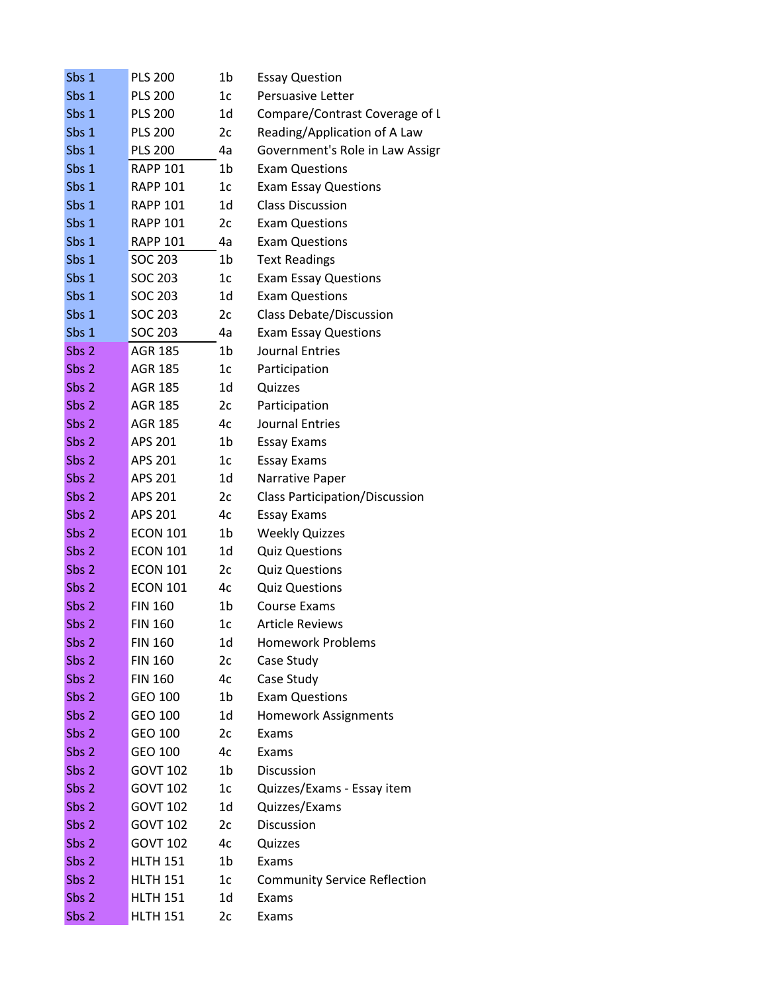| Sbs 1            | <b>PLS 200</b>  | 1b             | <b>Essay Question</b>                 |
|------------------|-----------------|----------------|---------------------------------------|
| Sbs 1            | <b>PLS 200</b>  | 1 <sub>c</sub> | Persuasive Letter                     |
| Sbs 1            | <b>PLS 200</b>  | 1d             | Compare/Contrast Coverage of L        |
| Sbs 1            | <b>PLS 200</b>  | 2c             | Reading/Application of A Law          |
| Sbs 1            | <b>PLS 200</b>  | 4a             | Government's Role in Law Assigr       |
| Sbs 1            | <b>RAPP 101</b> | 1b             | <b>Exam Questions</b>                 |
| Sbs 1            | <b>RAPP 101</b> | 1 <sub>c</sub> | <b>Exam Essay Questions</b>           |
| Sbs 1            | <b>RAPP 101</b> | 1d             | <b>Class Discussion</b>               |
| Sbs 1            | <b>RAPP 101</b> | 2c             | <b>Exam Questions</b>                 |
| Sbs 1            | <b>RAPP 101</b> | 4a             | <b>Exam Questions</b>                 |
| Sbs 1            | <b>SOC 203</b>  | 1 <sub>b</sub> | <b>Text Readings</b>                  |
| Sbs 1            | <b>SOC 203</b>  | 1 <sub>c</sub> | <b>Exam Essay Questions</b>           |
| Sbs 1            | <b>SOC 203</b>  | 1 <sub>d</sub> | <b>Exam Questions</b>                 |
| Sbs 1            | <b>SOC 203</b>  | 2c             | <b>Class Debate/Discussion</b>        |
| Sbs 1            | <b>SOC 203</b>  | 4a             | <b>Exam Essay Questions</b>           |
| Sbs 2            | <b>AGR 185</b>  | 1b             | <b>Journal Entries</b>                |
| Sbs 2            | <b>AGR 185</b>  | 1 <sub>c</sub> | Participation                         |
| Sbs 2            | <b>AGR 185</b>  | 1 <sub>d</sub> | Quizzes                               |
| Sbs 2            | <b>AGR 185</b>  | 2c             | Participation                         |
| Sbs 2            | <b>AGR 185</b>  | 4c             | Journal Entries                       |
| Sbs 2            | APS 201         | 1b             | <b>Essay Exams</b>                    |
| Sbs 2            | APS 201         | 1 <sub>c</sub> | <b>Essay Exams</b>                    |
| Sbs 2            | APS 201         | 1d             | Narrative Paper                       |
| Sbs 2            | APS 201         | 2c             | <b>Class Participation/Discussion</b> |
| Sbs <sub>2</sub> | APS 201         | 4c             | <b>Essay Exams</b>                    |
| Sbs 2            | <b>ECON 101</b> | 1 <sub>b</sub> | <b>Weekly Quizzes</b>                 |
| Sbs 2            | <b>ECON 101</b> | 1d             | <b>Quiz Questions</b>                 |
| Sbs 2            | <b>ECON 101</b> | 2c             | <b>Quiz Questions</b>                 |
| Sbs 2            | <b>ECON 101</b> | 4c             | <b>Quiz Questions</b>                 |
| Sbs 2            | <b>FIN 160</b>  | 1 <sub>b</sub> | <b>Course Exams</b>                   |
| Sbs 2            | <b>FIN 160</b>  | 1 <sub>c</sub> | Article Reviews                       |
| Sbs 2            | <b>FIN 160</b>  | 1d             | <b>Homework Problems</b>              |
| Sbs 2            | <b>FIN 160</b>  | 2c             | Case Study                            |
| Sbs 2            | <b>FIN 160</b>  | 4c             | Case Study                            |
| Sbs 2            | GEO 100         | 1 <sub>b</sub> | <b>Exam Questions</b>                 |
| Sbs 2            | GEO 100         | 1d             | <b>Homework Assignments</b>           |
| Sbs 2            | GEO 100         | 2c             | Exams                                 |
| Sbs 2            | GEO 100         | 4c             | Exams                                 |
| Sbs 2            | <b>GOVT 102</b> | 1 <sub>b</sub> | Discussion                            |
| Sbs 2            | <b>GOVT 102</b> | 1 <sub>c</sub> | Quizzes/Exams - Essay item            |
| Sbs 2            | <b>GOVT 102</b> | 1d             | Quizzes/Exams                         |
| Sbs 2            | <b>GOVT 102</b> | 2c             | Discussion                            |
| Sbs 2            | <b>GOVT 102</b> | 4c             | Quizzes                               |
| Sbs 2            | <b>HLTH 151</b> | 1 <sub>b</sub> | Exams                                 |
| Sbs 2            | <b>HLTH 151</b> | 1c             | <b>Community Service Reflection</b>   |
| Sbs <sub>2</sub> | <b>HLTH 151</b> | 1d             | Exams                                 |
| Sbs 2            | <b>HLTH 151</b> | 2c             | Exams                                 |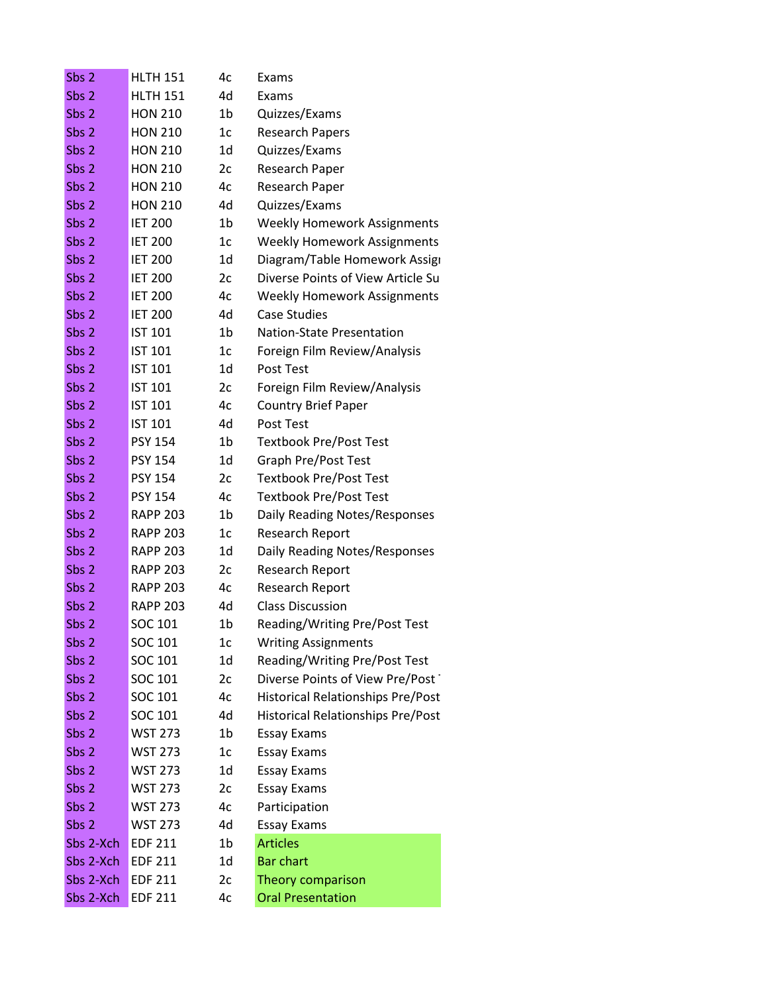| Sbs <sub>2</sub> | <b>HLTH 151</b> | 4c             | Exams                                    |
|------------------|-----------------|----------------|------------------------------------------|
| Sbs 2            | <b>HLTH 151</b> | 4d             | Exams                                    |
| Sbs 2            | <b>HON 210</b>  | 1b             | Quizzes/Exams                            |
| Sbs 2            | <b>HON 210</b>  | 1 <sub>c</sub> | <b>Research Papers</b>                   |
| Sbs 2            | <b>HON 210</b>  | 1d             | Quizzes/Exams                            |
| Sbs 2            | <b>HON 210</b>  | 2c             | Research Paper                           |
| Sbs 2            | <b>HON 210</b>  | 4c             | Research Paper                           |
| Sbs 2            | <b>HON 210</b>  | 4d             | Quizzes/Exams                            |
| Sbs 2            | <b>IET 200</b>  | 1 <sub>b</sub> | <b>Weekly Homework Assignments</b>       |
| Sbs 2            | <b>IET 200</b>  | 1 <sub>c</sub> | <b>Weekly Homework Assignments</b>       |
| Sbs 2            | <b>IET 200</b>  | 1d             | Diagram/Table Homework Assign            |
| Sbs 2            | <b>IET 200</b>  | 2c             | Diverse Points of View Article Su        |
| Sbs 2            | <b>IET 200</b>  | 4c             | <b>Weekly Homework Assignments</b>       |
| Sbs 2            | <b>IET 200</b>  | 4d             | <b>Case Studies</b>                      |
| Sbs 2            | <b>IST 101</b>  | 1b             | <b>Nation-State Presentation</b>         |
| Sbs 2            | <b>IST 101</b>  | 1 <sub>c</sub> | Foreign Film Review/Analysis             |
| Sbs 2            | <b>IST 101</b>  | 1d             | Post Test                                |
| Sbs 2            | <b>IST 101</b>  | 2c             | Foreign Film Review/Analysis             |
| Sbs 2            | <b>IST 101</b>  | 4c             | <b>Country Brief Paper</b>               |
| Sbs 2            | <b>IST 101</b>  | 4d             | Post Test                                |
| Sbs 2            | <b>PSY 154</b>  | 1b             | <b>Textbook Pre/Post Test</b>            |
| Sbs 2            | <b>PSY 154</b>  | 1d             | Graph Pre/Post Test                      |
| Sbs 2            | <b>PSY 154</b>  | 2c             | <b>Textbook Pre/Post Test</b>            |
| Sbs 2            | <b>PSY 154</b>  | 4c             | <b>Textbook Pre/Post Test</b>            |
| Sbs 2            | <b>RAPP 203</b> | 1 <sub>b</sub> | Daily Reading Notes/Responses            |
| Sbs 2            | <b>RAPP 203</b> | 1c             | Research Report                          |
| Sbs 2            | <b>RAPP 203</b> | 1d             | Daily Reading Notes/Responses            |
| Sbs 2            | <b>RAPP 203</b> | 2c             | <b>Research Report</b>                   |
| Sbs 2            | <b>RAPP 203</b> | 4c             | Research Report                          |
| Sbs 2            | <b>RAPP 203</b> | 4d             | <b>Class Discussion</b>                  |
| Sbs 2            | SOC 101         | 1b             | Reading/Writing Pre/Post Test            |
| Sbs 2            | SOC 101         | 1 <sub>c</sub> | <b>Writing Assignments</b>               |
| Sbs 2            | SOC 101         | 1d             | Reading/Writing Pre/Post Test            |
| Sbs 2            | SOC 101         | 2c             | Diverse Points of View Pre/Post          |
| Sbs 2            | SOC 101         | 4c             | <b>Historical Relationships Pre/Post</b> |
| Sbs 2            | SOC 101         | 4d             | <b>Historical Relationships Pre/Post</b> |
| Sbs 2            | <b>WST 273</b>  | 1b             | <b>Essay Exams</b>                       |
| Sbs 2            | <b>WST 273</b>  | 1c             | <b>Essay Exams</b>                       |
| Sbs 2            | <b>WST 273</b>  | 1 <sub>d</sub> | <b>Essay Exams</b>                       |
| Sbs 2            | <b>WST 273</b>  | 2c             | <b>Essay Exams</b>                       |
| Sbs 2            | <b>WST 273</b>  | 4c             | Participation                            |
| Sbs 2            | <b>WST 273</b>  | 4d             | <b>Essay Exams</b>                       |
| Sbs 2-Xch        | <b>EDF 211</b>  | 1b             | <b>Articles</b>                          |
| Sbs 2-Xch        | <b>EDF 211</b>  | 1 <sub>d</sub> | <b>Bar chart</b>                         |
| Sbs 2-Xch        | <b>EDF 211</b>  | 2c             | Theory comparison                        |
| Sbs 2-Xch        | <b>EDF 211</b>  | 4c             | <b>Oral Presentation</b>                 |
|                  |                 |                |                                          |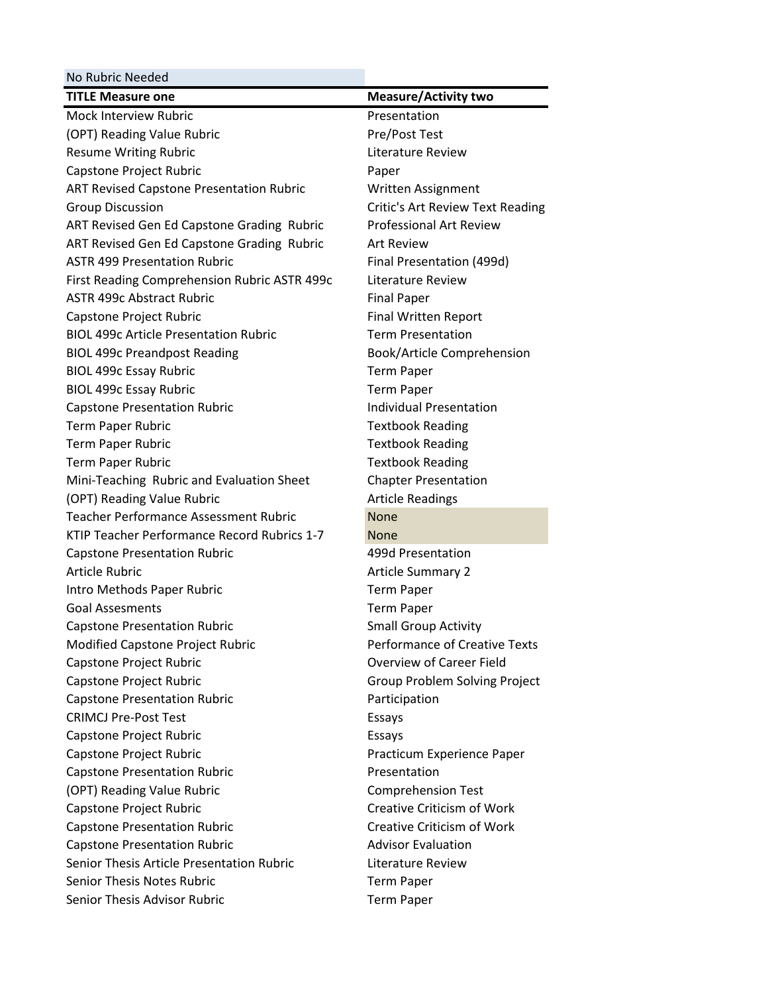| No Rubric Needed                                |                                      |
|-------------------------------------------------|--------------------------------------|
| <b>TITLE Measure one</b>                        | <b>Measure/Activity two</b>          |
| Mock Interview Rubric                           | Presentation                         |
| (OPT) Reading Value Rubric                      | Pre/Post Test                        |
| <b>Resume Writing Rubric</b>                    | Literature Review                    |
| Capstone Project Rubric                         | Paper                                |
| <b>ART Revised Capstone Presentation Rubric</b> | Written Assignment                   |
| <b>Group Discussion</b>                         | Critic's Art Review Text Reading     |
| ART Revised Gen Ed Capstone Grading Rubric      | <b>Professional Art Review</b>       |
| ART Revised Gen Ed Capstone Grading Rubric      | <b>Art Review</b>                    |
| <b>ASTR 499 Presentation Rubric</b>             | Final Presentation (499d)            |
| First Reading Comprehension Rubric ASTR 499c    | Literature Review                    |
| <b>ASTR 499c Abstract Rubric</b>                | <b>Final Paper</b>                   |
| Capstone Project Rubric                         | <b>Final Written Report</b>          |
| <b>BIOL 499c Article Presentation Rubric</b>    | <b>Term Presentation</b>             |
| <b>BIOL 499c Preandpost Reading</b>             | Book/Article Comprehension           |
| <b>BIOL 499c Essay Rubric</b>                   | <b>Term Paper</b>                    |
| <b>BIOL 499c Essay Rubric</b>                   | <b>Term Paper</b>                    |
| <b>Capstone Presentation Rubric</b>             | <b>Individual Presentation</b>       |
| Term Paper Rubric                               | <b>Textbook Reading</b>              |
| Term Paper Rubric                               | <b>Textbook Reading</b>              |
| Term Paper Rubric                               | <b>Textbook Reading</b>              |
| Mini-Teaching Rubric and Evaluation Sheet       | <b>Chapter Presentation</b>          |
| (OPT) Reading Value Rubric                      | <b>Article Readings</b>              |
| <b>Teacher Performance Assessment Rubric</b>    | <b>None</b>                          |
| KTIP Teacher Performance Record Rubrics 1-7     | <b>None</b>                          |
| <b>Capstone Presentation Rubric</b>             | 499d Presentation                    |
| <b>Article Rubric</b>                           | <b>Article Summary 2</b>             |
| Intro Methods Paper Rubric                      | <b>Term Paper</b>                    |
| <b>Goal Assesments</b>                          | <b>Term Paper</b>                    |
| <b>Capstone Presentation Rubric</b>             | <b>Small Group Activity</b>          |
| Modified Capstone Project Rubric                | <b>Performance of Creative Texts</b> |
| Capstone Project Rubric                         | <b>Overview of Career Field</b>      |
| Capstone Project Rubric                         | Group Problem Solving Project        |
| <b>Capstone Presentation Rubric</b>             | Participation                        |
| <b>CRIMCJ Pre-Post Test</b>                     | Essays                               |
| Capstone Project Rubric                         | Essays                               |
| Capstone Project Rubric                         | Practicum Experience Paper           |
| <b>Capstone Presentation Rubric</b>             | Presentation                         |
| (OPT) Reading Value Rubric                      | <b>Comprehension Test</b>            |
| Capstone Project Rubric                         | <b>Creative Criticism of Work</b>    |
| <b>Capstone Presentation Rubric</b>             | <b>Creative Criticism of Work</b>    |
| <b>Capstone Presentation Rubric</b>             | <b>Advisor Evaluation</b>            |
| Senior Thesis Article Presentation Rubric       | Literature Review                    |
| <b>Senior Thesis Notes Rubric</b>               | <b>Term Paper</b>                    |
| Senior Thesis Advisor Rubric                    | <b>Term Paper</b>                    |
|                                                 |                                      |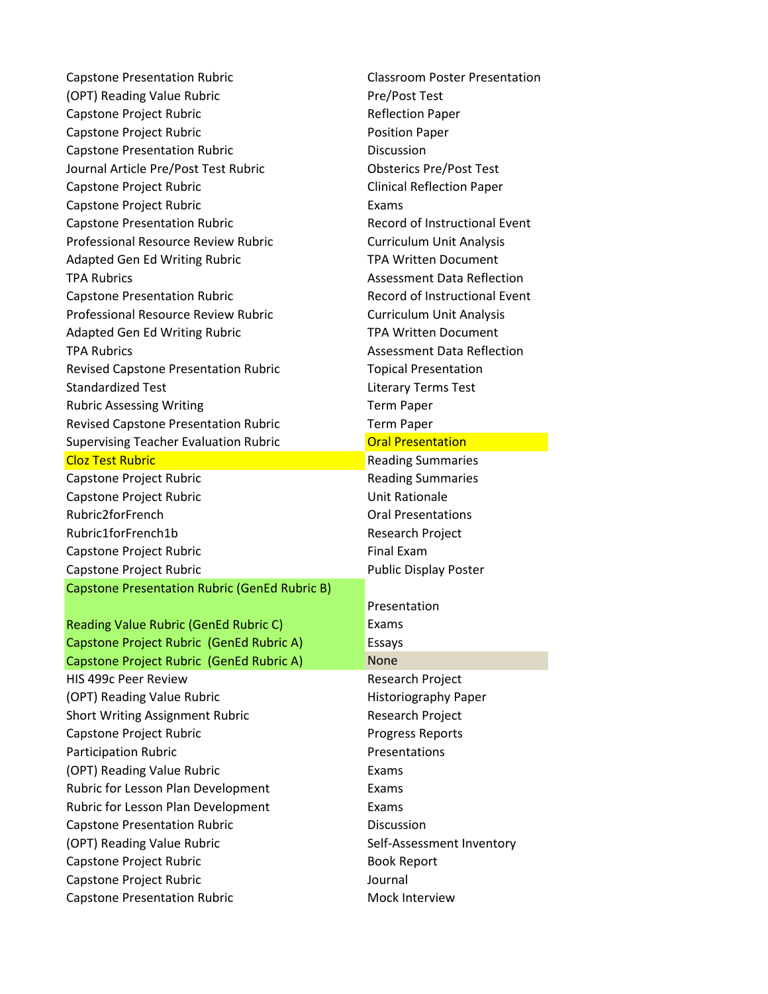| <b>Capstone Presentation Rubric</b>           | <b>Classroom Poster Presentation</b> |  |
|-----------------------------------------------|--------------------------------------|--|
| (OPT) Reading Value Rubric                    | Pre/Post Test                        |  |
| Capstone Project Rubric                       | <b>Reflection Paper</b>              |  |
| Capstone Project Rubric                       | <b>Position Paper</b>                |  |
| <b>Capstone Presentation Rubric</b>           | Discussion                           |  |
| Journal Article Pre/Post Test Rubric          | <b>Obsterics Pre/Post Test</b>       |  |
| Capstone Project Rubric                       | <b>Clinical Reflection Paper</b>     |  |
| Capstone Project Rubric                       | Exams                                |  |
| <b>Capstone Presentation Rubric</b>           | Record of Instructional Event        |  |
| <b>Professional Resource Review Rubric</b>    | <b>Curriculum Unit Analysis</b>      |  |
| <b>Adapted Gen Ed Writing Rubric</b>          | <b>TPA Written Document</b>          |  |
| <b>TPA Rubrics</b>                            | <b>Assessment Data Reflection</b>    |  |
| <b>Capstone Presentation Rubric</b>           | Record of Instructional Event        |  |
| Professional Resource Review Rubric           | <b>Curriculum Unit Analysis</b>      |  |
| <b>Adapted Gen Ed Writing Rubric</b>          | <b>TPA Written Document</b>          |  |
| <b>TPA Rubrics</b>                            | <b>Assessment Data Reflection</b>    |  |
| Revised Capstone Presentation Rubric          | <b>Topical Presentation</b>          |  |
| <b>Standardized Test</b>                      | <b>Literary Terms Test</b>           |  |
| <b>Rubric Assessing Writing</b>               | <b>Term Paper</b>                    |  |
| Revised Capstone Presentation Rubric          | <b>Term Paper</b>                    |  |
| <b>Supervising Teacher Evaluation Rubric</b>  | <b>Oral Presentation</b>             |  |
| <b>Cloz Test Rubric</b>                       | <b>Reading Summaries</b>             |  |
| Capstone Project Rubric                       | <b>Reading Summaries</b>             |  |
| Capstone Project Rubric                       | <b>Unit Rationale</b>                |  |
| Rubric2forFrench                              | <b>Oral Presentations</b>            |  |
| Rubric1forFrench1b                            | Research Project                     |  |
| Capstone Project Rubric                       | <b>Final Exam</b>                    |  |
| Capstone Project Rubric                       | <b>Public Display Poster</b>         |  |
| Capstone Presentation Rubric (GenEd Rubric B) |                                      |  |
|                                               | Presentation                         |  |
| Reading Value Rubric (GenEd Rubric C)         | Exams                                |  |
| Capstone Project Rubric (GenEd Rubric A)      | Essays                               |  |
| Capstone Project Rubric (GenEd Rubric A)      | <b>None</b>                          |  |
| HIS 499c Peer Review                          | Research Project                     |  |
| (OPT) Reading Value Rubric                    | Historiography Paper                 |  |
| <b>Short Writing Assignment Rubric</b>        | <b>Research Project</b>              |  |
| Capstone Project Rubric                       | <b>Progress Reports</b>              |  |
| <b>Participation Rubric</b>                   | Presentations                        |  |
| (OPT) Reading Value Rubric                    | Exams                                |  |
| Rubric for Lesson Plan Development            | Exams                                |  |
| Rubric for Lesson Plan Development            | Exams                                |  |
| <b>Capstone Presentation Rubric</b>           | <b>Discussion</b>                    |  |
| (OPT) Reading Value Rubric                    | Self-Assessment Inventory            |  |
|                                               |                                      |  |
| Capstone Project Rubric                       | <b>Book Report</b>                   |  |
| Capstone Project Rubric                       | Journal                              |  |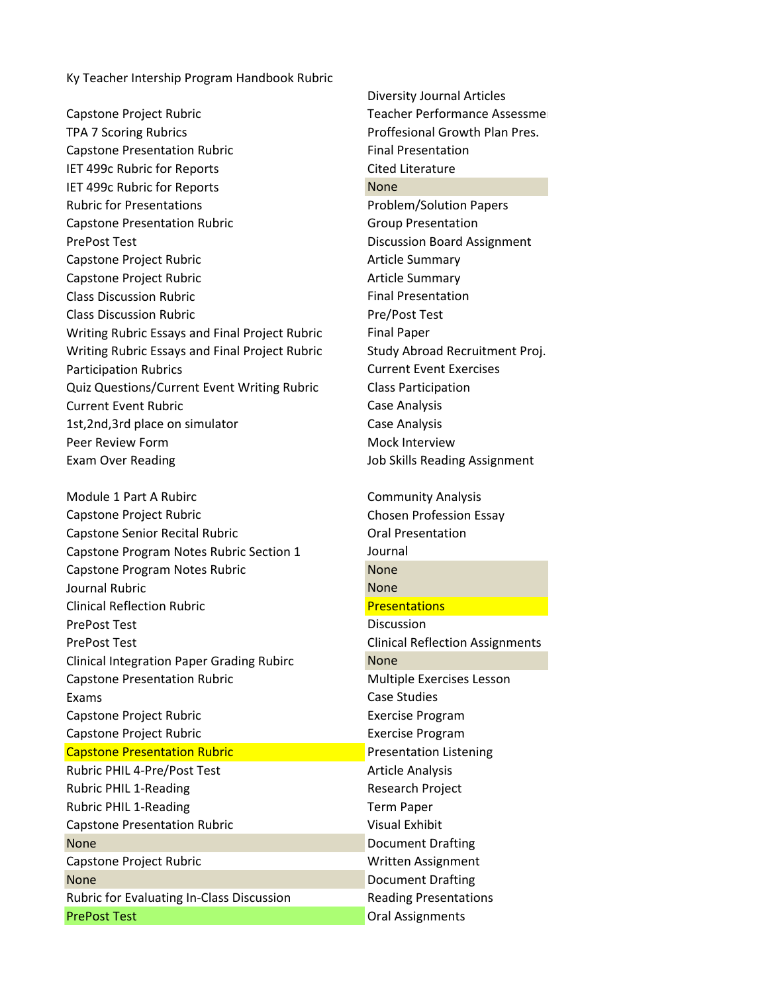Ky Teacher Intership Program Handbook Rubric

Capstone Project Rubric Teacher Performance Assessment TPA 7 Scoring Rubrics Proffesional Growth Plan Pres. Capstone Presentation Rubric Final Presentation IET 499c Rubric for Reports Cited Literature IET 499c Rubric for Reports None Rubric for Presentations **Problem/Solution Papers** Problem/Solution Papers Capstone Presentation Rubric Capstone Presentation PrePost Test **Discussion Board Assignment** Capstone Project Rubric **Capstone Profession** Capstone Project Rubric **Capstone Summary** Class Discussion Rubric **Final Presentation** Class Discussion Rubric Pre/Post Test Writing Rubric Essays and Final Project Rubric Final Paper Writing Rubric Essays and Final Project Rubric Study Abroad Recruitment Proj. Participation Rubrics **Current Event Exercises** Quiz Questions/Current Event Writing Rubric Class Participation Current Event Rubric **Case Analysis** Case Analysis 1st,2nd,3rd place on simulator example and case Analysis Peer Review Form and the control of the Mock Interview

Module 1 Part A Rubirc **Community Analysis** Community Analysis Capstone Project Rubric Chosen Profession Essay Capstone Senior Recital Rubric Capstone Capstone Senior Recital Rubric Capstone Cral Presentation Capstone Program Notes Rubric Section 1 Journal Capstone Program Notes Rubric None Journal Rubric None **Clinical Reflection Rubric Presentations** PrePost Test **Discussion** PrePost Test Clinical Reflection Assignments Clinical Integration Paper Grading Rubirc None Capstone Presentation Rubric **Multiple Exercises Lesson** Exams **Case Studies** Capstone Project Rubric **Exercise Program** Capstone Project Rubric **Exercise Program** Capstone Presentation Rubric **Presentation Rubric Presentation Listening** Rubric PHIL 4-Pre/Post Test Article Analysis Rubric PHIL 1-Reading **Research Project** Research Project Rubric PHIL 1-Reading Term Paper Capstone Presentation Rubric Visual Exhibit None **Document Drafting** Capstone Project Rubric New York Capstone Project Rubric New York Written Assignment **None** Document Drafting Rubric for Evaluating In-Class Discussion Reading Presentations **PrePost Test** Oral Assignments

Diversity Journal Articles Exam Over Reading The Matter of the Skills Reading Assignment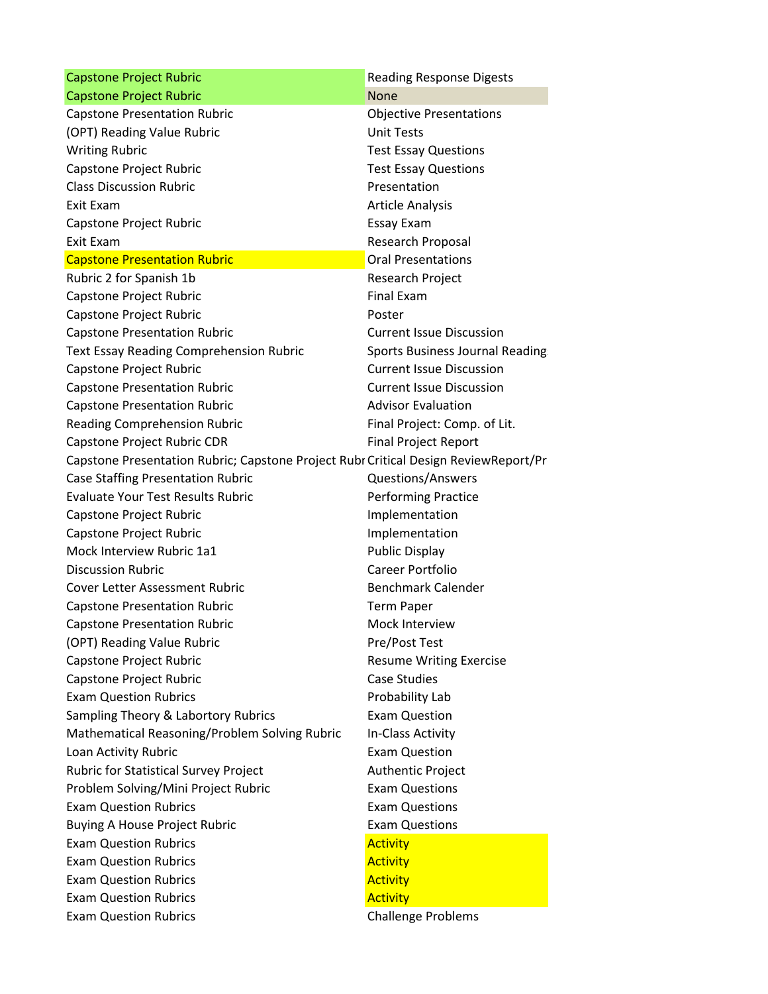| <b>Capstone Project Rubric</b>                                                      | <b>Reading Response Digests</b>        |
|-------------------------------------------------------------------------------------|----------------------------------------|
| <b>Capstone Project Rubric</b>                                                      | <b>None</b>                            |
| <b>Capstone Presentation Rubric</b>                                                 | <b>Objective Presentations</b>         |
| (OPT) Reading Value Rubric                                                          | <b>Unit Tests</b>                      |
| <b>Writing Rubric</b>                                                               | <b>Test Essay Questions</b>            |
| Capstone Project Rubric                                                             | <b>Test Essay Questions</b>            |
| <b>Class Discussion Rubric</b>                                                      | Presentation                           |
| Exit Exam                                                                           | <b>Article Analysis</b>                |
| Capstone Project Rubric                                                             | <b>Essay Exam</b>                      |
| Exit Exam                                                                           | Research Proposal                      |
| <b>Capstone Presentation Rubric</b>                                                 | <b>Oral Presentations</b>              |
| Rubric 2 for Spanish 1b                                                             | Research Project                       |
| Capstone Project Rubric                                                             | <b>Final Exam</b>                      |
| Capstone Project Rubric                                                             | Poster                                 |
| <b>Capstone Presentation Rubric</b>                                                 | <b>Current Issue Discussion</b>        |
| <b>Text Essay Reading Comprehension Rubric</b>                                      | <b>Sports Business Journal Reading</b> |
| Capstone Project Rubric                                                             | <b>Current Issue Discussion</b>        |
| <b>Capstone Presentation Rubric</b>                                                 | <b>Current Issue Discussion</b>        |
| <b>Capstone Presentation Rubric</b>                                                 | <b>Advisor Evaluation</b>              |
| <b>Reading Comprehension Rubric</b>                                                 | Final Project: Comp. of Lit.           |
| Capstone Project Rubric CDR                                                         | <b>Final Project Report</b>            |
| Capstone Presentation Rubric; Capstone Project Rubr Critical Design ReviewReport/Pr |                                        |
| <b>Case Staffing Presentation Rubric</b>                                            | <b>Questions/Answers</b>               |
| <b>Evaluate Your Test Results Rubric</b>                                            | <b>Performing Practice</b>             |
| Capstone Project Rubric                                                             | Implementation                         |
| Capstone Project Rubric                                                             | Implementation                         |
| Mock Interview Rubric 1a1                                                           | <b>Public Display</b>                  |
| <b>Discussion Rubric</b>                                                            | <b>Career Portfolio</b>                |
| <b>Cover Letter Assessment Rubric</b>                                               | <b>Benchmark Calender</b>              |
| <b>Capstone Presentation Rubric</b>                                                 | <b>Term Paper</b>                      |
| <b>Capstone Presentation Rubric</b>                                                 | Mock Interview                         |
| (OPT) Reading Value Rubric                                                          | Pre/Post Test                          |
| Capstone Project Rubric                                                             | <b>Resume Writing Exercise</b>         |
| Capstone Project Rubric                                                             | <b>Case Studies</b>                    |
| <b>Exam Question Rubrics</b>                                                        | Probability Lab                        |
| Sampling Theory & Labortory Rubrics                                                 | <b>Exam Question</b>                   |
| Mathematical Reasoning/Problem Solving Rubric                                       | In-Class Activity                      |
| Loan Activity Rubric                                                                | <b>Exam Question</b>                   |
| Rubric for Statistical Survey Project                                               | Authentic Project                      |
| Problem Solving/Mini Project Rubric                                                 | <b>Exam Questions</b>                  |
| <b>Exam Question Rubrics</b>                                                        | <b>Exam Questions</b>                  |
| <b>Buying A House Project Rubric</b>                                                | <b>Exam Questions</b>                  |
| <b>Exam Question Rubrics</b>                                                        | <b>Activity</b>                        |
| <b>Exam Question Rubrics</b>                                                        | <b>Activity</b>                        |
| <b>Exam Question Rubrics</b>                                                        | <b>Activity</b>                        |
| <b>Exam Question Rubrics</b>                                                        | <b>Activity</b>                        |
| <b>Exam Question Rubrics</b>                                                        | <b>Challenge Problems</b>              |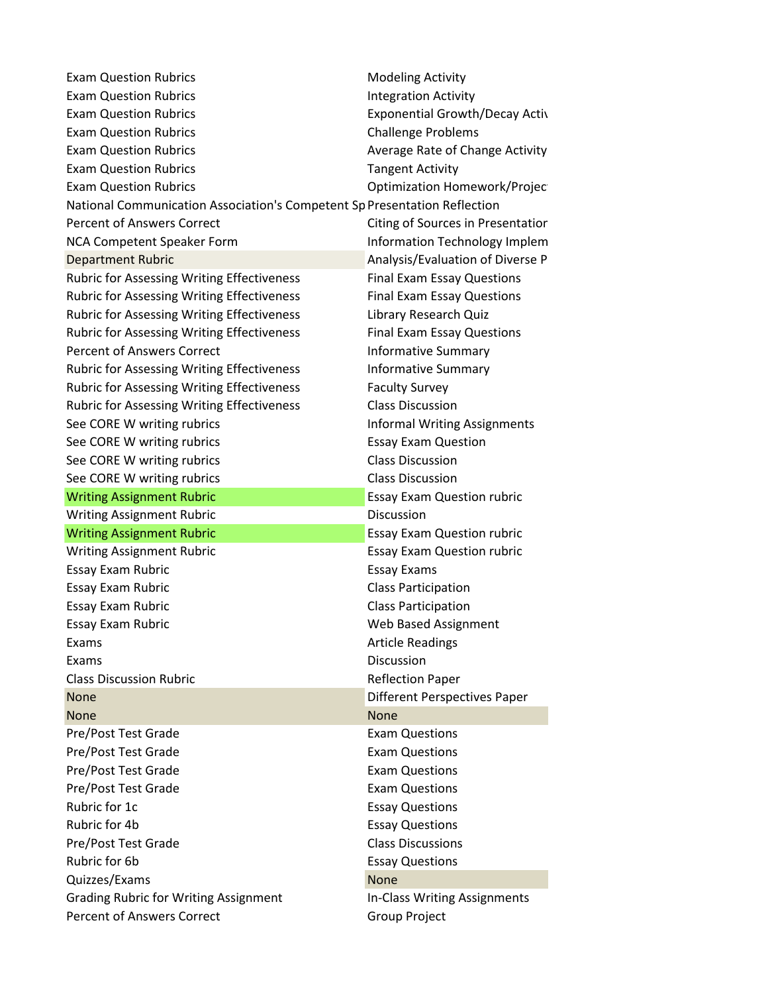| <b>Exam Question Rubrics</b>                                              | <b>Modeling Activity</b>              |
|---------------------------------------------------------------------------|---------------------------------------|
| <b>Exam Question Rubrics</b>                                              | <b>Integration Activity</b>           |
| <b>Exam Question Rubrics</b>                                              | <b>Exponential Growth/Decay Activ</b> |
| <b>Exam Question Rubrics</b>                                              | <b>Challenge Problems</b>             |
| <b>Exam Question Rubrics</b>                                              | Average Rate of Change Activity       |
| <b>Exam Question Rubrics</b>                                              | <b>Tangent Activity</b>               |
| <b>Exam Question Rubrics</b>                                              | Optimization Homework/Projec          |
| National Communication Association's Competent Sp Presentation Reflection |                                       |
| <b>Percent of Answers Correct</b>                                         | Citing of Sources in Presentatior     |
| NCA Competent Speaker Form                                                | Information Technology Implem         |
| <b>Department Rubric</b>                                                  | Analysis/Evaluation of Diverse P      |
| <b>Rubric for Assessing Writing Effectiveness</b>                         | <b>Final Exam Essay Questions</b>     |
| <b>Rubric for Assessing Writing Effectiveness</b>                         | <b>Final Exam Essay Questions</b>     |
| <b>Rubric for Assessing Writing Effectiveness</b>                         | Library Research Quiz                 |
| <b>Rubric for Assessing Writing Effectiveness</b>                         | <b>Final Exam Essay Questions</b>     |
| <b>Percent of Answers Correct</b>                                         | <b>Informative Summary</b>            |
| <b>Rubric for Assessing Writing Effectiveness</b>                         | <b>Informative Summary</b>            |
| <b>Rubric for Assessing Writing Effectiveness</b>                         | <b>Faculty Survey</b>                 |
| <b>Rubric for Assessing Writing Effectiveness</b>                         | <b>Class Discussion</b>               |
| See CORE W writing rubrics                                                | <b>Informal Writing Assignments</b>   |
| See CORE W writing rubrics                                                | <b>Essay Exam Question</b>            |
| See CORE W writing rubrics                                                | <b>Class Discussion</b>               |
| See CORE W writing rubrics                                                | <b>Class Discussion</b>               |
| <b>Writing Assignment Rubric</b>                                          | <b>Essay Exam Question rubric</b>     |
| <b>Writing Assignment Rubric</b>                                          | Discussion                            |
| <b>Writing Assignment Rubric</b>                                          | <b>Essay Exam Question rubric</b>     |
| <b>Writing Assignment Rubric</b>                                          | <b>Essay Exam Question rubric</b>     |
| Essay Exam Rubric                                                         | <b>Essay Exams</b>                    |
| Essay Exam Rubric                                                         | <b>Class Participation</b>            |
| Essay Exam Rubric                                                         | <b>Class Participation</b>            |
| <b>Essay Exam Rubric</b>                                                  | Web Based Assignment                  |
| Exams                                                                     | <b>Article Readings</b>               |
| Exams                                                                     | Discussion                            |
| <b>Class Discussion Rubric</b>                                            | <b>Reflection Paper</b>               |
| None                                                                      | <b>Different Perspectives Paper</b>   |
| <b>None</b>                                                               | <b>None</b>                           |
| Pre/Post Test Grade                                                       | <b>Exam Questions</b>                 |
| Pre/Post Test Grade                                                       | <b>Exam Questions</b>                 |
| Pre/Post Test Grade                                                       | <b>Exam Questions</b>                 |
| Pre/Post Test Grade                                                       | <b>Exam Questions</b>                 |
| Rubric for 1c                                                             | <b>Essay Questions</b>                |
| Rubric for 4b                                                             | <b>Essay Questions</b>                |
| Pre/Post Test Grade                                                       | <b>Class Discussions</b>              |
| Rubric for 6b                                                             | <b>Essay Questions</b>                |
| Quizzes/Exams                                                             | None                                  |
| <b>Grading Rubric for Writing Assignment</b>                              | In-Class Writing Assignments          |
| <b>Percent of Answers Correct</b>                                         | Group Project                         |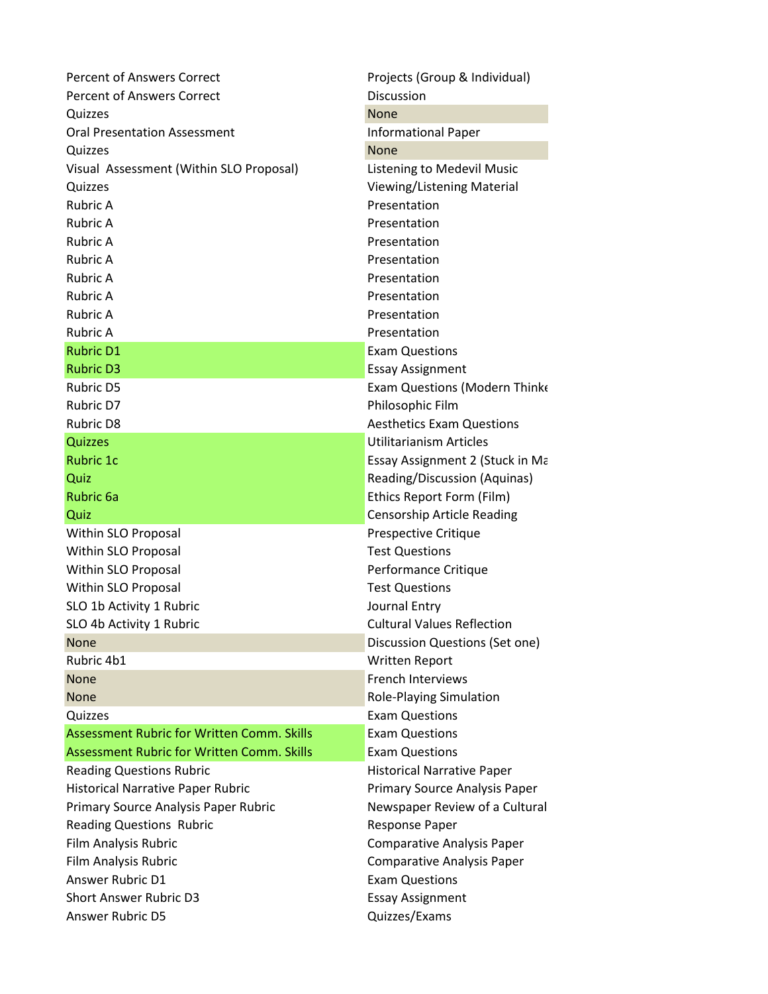| Percent of Answers Correct                        | Projects (Group & Individual)     |
|---------------------------------------------------|-----------------------------------|
| <b>Percent of Answers Correct</b>                 | Discussion                        |
| Quizzes                                           | <b>None</b>                       |
| <b>Oral Presentation Assessment</b>               | <b>Informational Paper</b>        |
| Quizzes                                           | <b>None</b>                       |
| Visual Assessment (Within SLO Proposal)           | <b>Listening to Medevil Music</b> |
| Quizzes                                           | Viewing/Listening Material        |
| Rubric A                                          | Presentation                      |
| <b>Rubric A</b>                                   | Presentation                      |
| <b>Rubric A</b>                                   | Presentation                      |
| <b>Rubric A</b>                                   | Presentation                      |
| <b>Rubric A</b>                                   | Presentation                      |
| <b>Rubric A</b>                                   | Presentation                      |
| <b>Rubric A</b>                                   | Presentation                      |
| <b>Rubric A</b>                                   | Presentation                      |
| <b>Rubric D1</b>                                  | <b>Exam Questions</b>             |
| <b>Rubric D3</b>                                  | <b>Essay Assignment</b>           |
| <b>Rubric D5</b>                                  | Exam Questions (Modern Thinke     |
| Rubric D7                                         | Philosophic Film                  |
| <b>Rubric D8</b>                                  | <b>Aesthetics Exam Questions</b>  |
| Quizzes                                           | <b>Utilitarianism Articles</b>    |
| <b>Rubric 1c</b>                                  | Essay Assignment 2 (Stuck in Ma   |
| Quiz                                              | Reading/Discussion (Aquinas)      |
| <b>Rubric 6a</b>                                  | Ethics Report Form (Film)         |
| Quiz                                              | Censorship Article Reading        |
| Within SLO Proposal                               | Prespective Critique              |
| Within SLO Proposal                               | <b>Test Questions</b>             |
| Within SLO Proposal                               | Performance Critique              |
| Within SLO Proposal                               | <b>Test Questions</b>             |
| SLO 1b Activity 1 Rubric                          | Journal Entry                     |
| SLO 4b Activity 1 Rubric                          | <b>Cultural Values Reflection</b> |
| <b>None</b>                                       | Discussion Questions (Set one)    |
| Rubric 4b1                                        | <b>Written Report</b>             |
| <b>None</b>                                       | <b>French Interviews</b>          |
| <b>None</b>                                       | <b>Role-Playing Simulation</b>    |
| Quizzes                                           | <b>Exam Questions</b>             |
| <b>Assessment Rubric for Written Comm. Skills</b> | <b>Exam Questions</b>             |
| Assessment Rubric for Written Comm, Skills        | <b>Exam Questions</b>             |
| <b>Reading Questions Rubric</b>                   | <b>Historical Narrative Paper</b> |
| <b>Historical Narrative Paper Rubric</b>          | Primary Source Analysis Paper     |
| Primary Source Analysis Paper Rubric              | Newspaper Review of a Cultural    |
| <b>Reading Questions Rubric</b>                   | <b>Response Paper</b>             |
| Film Analysis Rubric                              | <b>Comparative Analysis Paper</b> |
| Film Analysis Rubric                              | <b>Comparative Analysis Paper</b> |
| Answer Rubric D1                                  | <b>Exam Questions</b>             |
| <b>Short Answer Rubric D3</b>                     | <b>Essay Assignment</b>           |
| Answer Rubric D5                                  | Quizzes/Exams                     |
|                                                   |                                   |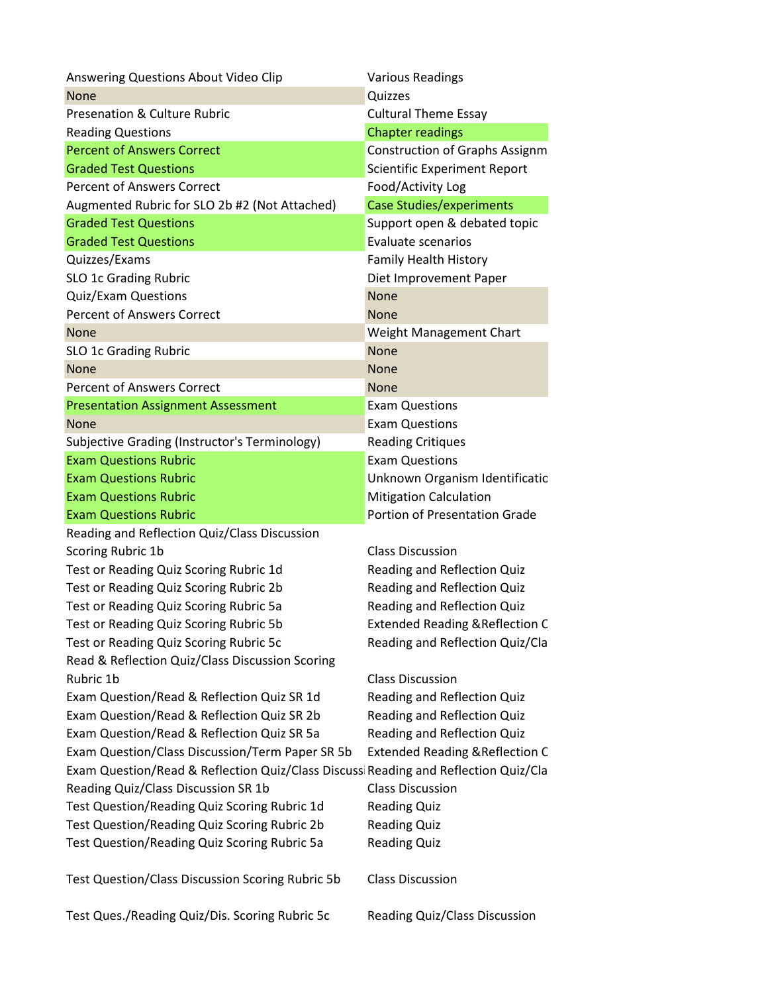| Answering Questions About Video Clip                                               | <b>Various Readings</b>                    |
|------------------------------------------------------------------------------------|--------------------------------------------|
| <b>None</b>                                                                        | Quizzes                                    |
| <b>Presenation &amp; Culture Rubric</b>                                            | <b>Cultural Theme Essay</b>                |
| <b>Reading Questions</b>                                                           | <b>Chapter readings</b>                    |
| <b>Percent of Answers Correct</b>                                                  | <b>Construction of Graphs Assignm</b>      |
| <b>Graded Test Questions</b>                                                       | <b>Scientific Experiment Report</b>        |
| <b>Percent of Answers Correct</b>                                                  | Food/Activity Log                          |
| Augmented Rubric for SLO 2b #2 (Not Attached)                                      | <b>Case Studies/experiments</b>            |
| <b>Graded Test Questions</b>                                                       | Support open & debated topic               |
| <b>Graded Test Questions</b>                                                       | <b>Evaluate scenarios</b>                  |
| Quizzes/Exams                                                                      | <b>Family Health History</b>               |
| SLO 1c Grading Rubric                                                              | Diet Improvement Paper                     |
| <b>Quiz/Exam Questions</b>                                                         | <b>None</b>                                |
| <b>Percent of Answers Correct</b>                                                  | <b>None</b>                                |
| <b>None</b>                                                                        | Weight Management Chart                    |
| SLO 1c Grading Rubric                                                              | <b>None</b>                                |
| <b>None</b>                                                                        | <b>None</b>                                |
| <b>Percent of Answers Correct</b>                                                  | <b>None</b>                                |
| <b>Presentation Assignment Assessment</b>                                          | <b>Exam Questions</b>                      |
| <b>None</b>                                                                        | <b>Exam Questions</b>                      |
| Subjective Grading (Instructor's Terminology)                                      | <b>Reading Critiques</b>                   |
| <b>Exam Questions Rubric</b>                                                       | <b>Exam Questions</b>                      |
| <b>Exam Questions Rubric</b>                                                       | Unknown Organism Identificatic             |
| <b>Exam Questions Rubric</b>                                                       | <b>Mitigation Calculation</b>              |
| <b>Exam Questions Rubric</b>                                                       | Portion of Presentation Grade              |
| Reading and Reflection Quiz/Class Discussion                                       |                                            |
| Scoring Rubric 1b                                                                  | <b>Class Discussion</b>                    |
| Test or Reading Quiz Scoring Rubric 1d                                             | Reading and Reflection Quiz                |
| Test or Reading Quiz Scoring Rubric 2b                                             | Reading and Reflection Quiz                |
| Test or Reading Quiz Scoring Rubric 5a                                             | Reading and Reflection Quiz                |
| Test or Reading Quiz Scoring Rubric 5b                                             | <b>Extended Reading &amp; Reflection C</b> |
| Test or Reading Quiz Scoring Rubric 5c                                             | Reading and Reflection Quiz/Cla            |
| Read & Reflection Quiz/Class Discussion Scoring                                    |                                            |
| Rubric 1b                                                                          | <b>Class Discussion</b>                    |
| Exam Question/Read & Reflection Quiz SR 1d                                         | Reading and Reflection Quiz                |
| Exam Question/Read & Reflection Quiz SR 2b                                         | Reading and Reflection Quiz                |
| Exam Question/Read & Reflection Quiz SR 5a                                         | Reading and Reflection Quiz                |
| Exam Question/Class Discussion/Term Paper SR 5b                                    | <b>Extended Reading &amp; Reflection C</b> |
| Exam Question/Read & Reflection Quiz/Class Discuss Reading and Reflection Quiz/Cla |                                            |
| Reading Quiz/Class Discussion SR 1b                                                | <b>Class Discussion</b>                    |
| Test Question/Reading Quiz Scoring Rubric 1d                                       | <b>Reading Quiz</b>                        |
| Test Question/Reading Quiz Scoring Rubric 2b                                       | <b>Reading Quiz</b>                        |
| Test Question/Reading Quiz Scoring Rubric 5a                                       | <b>Reading Quiz</b>                        |
| Test Question/Class Discussion Scoring Rubric 5b                                   | <b>Class Discussion</b>                    |
| Test Ques./Reading Quiz/Dis. Scoring Rubric 5c                                     | Reading Quiz/Class Discussion              |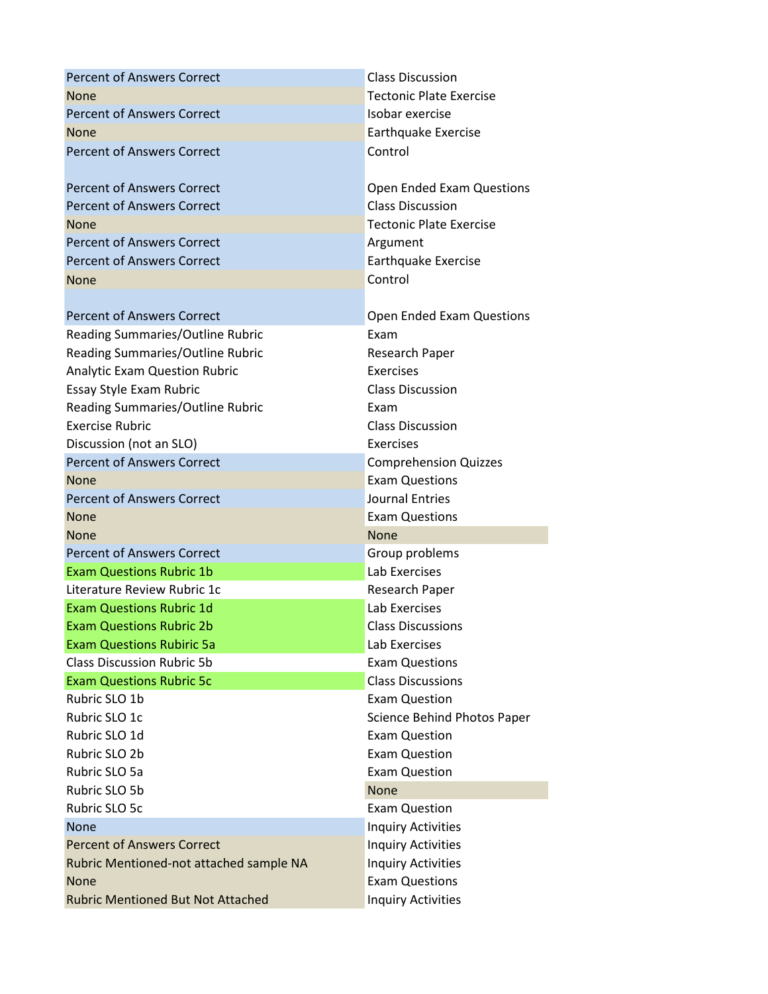| <b>Percent of Answers Correct</b>       | <b>Class Discussion</b>        |
|-----------------------------------------|--------------------------------|
| None                                    | <b>Tectonic Plate Exercise</b> |
| <b>Percent of Answers Correct</b>       | Isobar exercise                |
| <b>None</b>                             | Earthquake Exercise            |
| <b>Percent of Answers Correct</b>       | Control                        |
| <b>Percent of Answers Correct</b>       | Open Ended Exam Questions      |
| <b>Percent of Answers Correct</b>       | <b>Class Discussion</b>        |
| <b>None</b>                             | <b>Tectonic Plate Exercise</b> |
| <b>Percent of Answers Correct</b>       | Argument                       |
| <b>Percent of Answers Correct</b>       | Earthquake Exercise            |
| <b>None</b>                             | Control                        |
|                                         |                                |
| <b>Percent of Answers Correct</b>       | Open Ended Exam Questions      |
| Reading Summaries/Outline Rubric        | Exam                           |
| Reading Summaries/Outline Rubric        | Research Paper                 |
| <b>Analytic Exam Question Rubric</b>    | Exercises                      |
| Essay Style Exam Rubric                 | <b>Class Discussion</b>        |
| Reading Summaries/Outline Rubric        | Exam                           |
| <b>Exercise Rubric</b>                  | <b>Class Discussion</b>        |
| Discussion (not an SLO)                 | Exercises                      |
| <b>Percent of Answers Correct</b>       | <b>Comprehension Quizzes</b>   |
| <b>None</b>                             | <b>Exam Questions</b>          |
|                                         |                                |
| <b>Percent of Answers Correct</b>       | Journal Entries                |
| <b>None</b>                             | <b>Exam Questions</b>          |
| <b>None</b>                             | <b>None</b>                    |
| <b>Percent of Answers Correct</b>       | Group problems                 |
| <b>Exam Questions Rubric 1b</b>         | Lab Exercises                  |
| Literature Review Rubric 1c             | Research Paper                 |
| <b>Exam Questions Rubric 1d</b>         | Lab Exercises                  |
| <b>Exam Questions Rubric 2b</b>         | <b>Class Discussions</b>       |
| <b>Exam Questions Rubiric 5a</b>        | Lab Exercises                  |
| <b>Class Discussion Rubric 5b</b>       | <b>Exam Questions</b>          |
| <b>Exam Questions Rubric 5c</b>         | <b>Class Discussions</b>       |
| Rubric SLO 1b                           | <b>Exam Question</b>           |
| Rubric SLO 1c                           | Science Behind Photos Paper    |
| Rubric SLO 1d                           | <b>Exam Question</b>           |
| Rubric SLO 2b                           | <b>Exam Question</b>           |
| Rubric SLO 5a                           | <b>Exam Question</b>           |
| Rubric SLO 5b                           | <b>None</b>                    |
| Rubric SLO 5c                           | <b>Exam Question</b>           |
| <b>None</b>                             | <b>Inquiry Activities</b>      |
| <b>Percent of Answers Correct</b>       | <b>Inquiry Activities</b>      |
| Rubric Mentioned-not attached sample NA | <b>Inquiry Activities</b>      |
| <b>None</b>                             | <b>Exam Questions</b>          |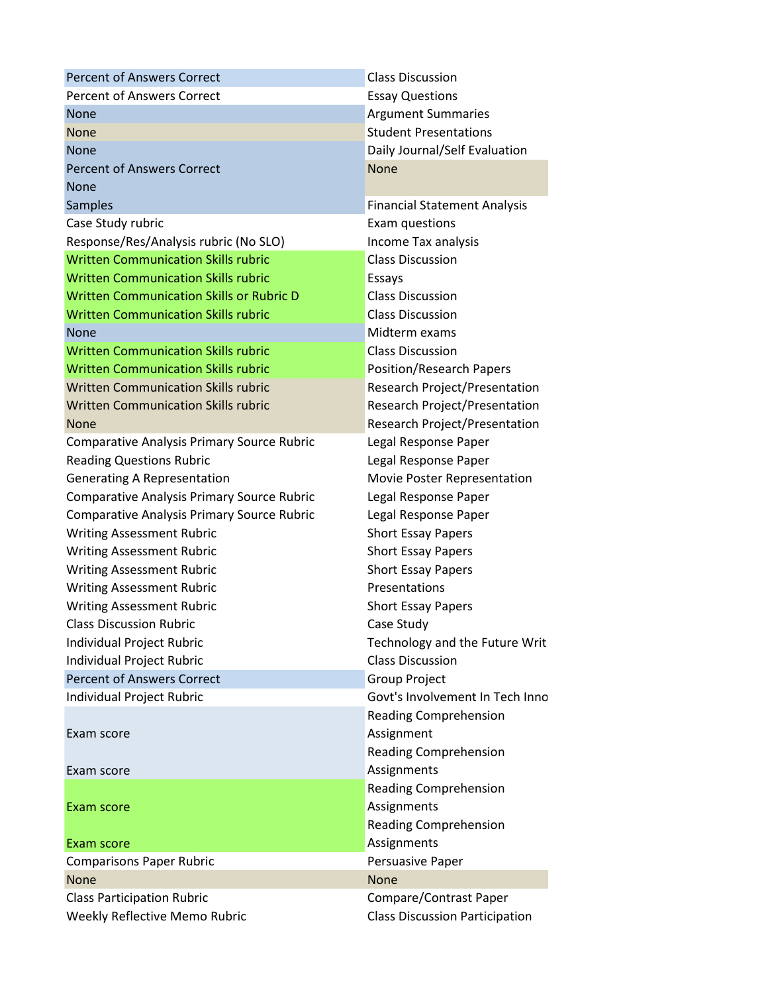| <b>Percent of Answers Correct</b>                 | <b>Class Discussion</b>               |
|---------------------------------------------------|---------------------------------------|
| <b>Percent of Answers Correct</b>                 | <b>Essay Questions</b>                |
| None                                              | <b>Argument Summaries</b>             |
| None                                              | <b>Student Presentations</b>          |
| <b>None</b>                                       | Daily Journal/Self Evaluation         |
| <b>Percent of Answers Correct</b>                 | <b>None</b>                           |
| <b>None</b>                                       |                                       |
| <b>Samples</b>                                    | <b>Financial Statement Analysis</b>   |
| Case Study rubric                                 | Exam questions                        |
| Response/Res/Analysis rubric (No SLO)             | Income Tax analysis                   |
| <b>Written Communication Skills rubric</b>        | <b>Class Discussion</b>               |
| <b>Written Communication Skills rubric</b>        | Essays                                |
| <b>Written Communication Skills or Rubric D</b>   | <b>Class Discussion</b>               |
| <b>Written Communication Skills rubric</b>        | <b>Class Discussion</b>               |
| <b>None</b>                                       | Midterm exams                         |
| <b>Written Communication Skills rubric</b>        | <b>Class Discussion</b>               |
| <b>Written Communication Skills rubric</b>        | Position/Research Papers              |
| <b>Written Communication Skills rubric</b>        | Research Project/Presentation         |
| <b>Written Communication Skills rubric</b>        | <b>Research Project/Presentation</b>  |
| <b>None</b>                                       | Research Project/Presentation         |
| Comparative Analysis Primary Source Rubric        | Legal Response Paper                  |
| <b>Reading Questions Rubric</b>                   | Legal Response Paper                  |
| <b>Generating A Representation</b>                | Movie Poster Representation           |
| <b>Comparative Analysis Primary Source Rubric</b> | Legal Response Paper                  |
| <b>Comparative Analysis Primary Source Rubric</b> | Legal Response Paper                  |
| <b>Writing Assessment Rubric</b>                  | <b>Short Essay Papers</b>             |
| <b>Writing Assessment Rubric</b>                  | <b>Short Essay Papers</b>             |
| <b>Writing Assessment Rubric</b>                  | <b>Short Essay Papers</b>             |
| <b>Writing Assessment Rubric</b>                  | Presentations                         |
| <b>Writing Assessment Rubric</b>                  | <b>Short Essay Papers</b>             |
| <b>Class Discussion Rubric</b>                    | Case Study                            |
| Individual Project Rubric                         | Technology and the Future Writ        |
| Individual Project Rubric                         | <b>Class Discussion</b>               |
| <b>Percent of Answers Correct</b>                 | <b>Group Project</b>                  |
| Individual Project Rubric                         | Govt's Involvement In Tech Inno       |
|                                                   | <b>Reading Comprehension</b>          |
| Exam score                                        | Assignment                            |
|                                                   | <b>Reading Comprehension</b>          |
| Exam score                                        | Assignments                           |
|                                                   | <b>Reading Comprehension</b>          |
| Exam score                                        | Assignments                           |
|                                                   | <b>Reading Comprehension</b>          |
| Exam score                                        | Assignments                           |
| <b>Comparisons Paper Rubric</b>                   | Persuasive Paper                      |
| None                                              | <b>None</b>                           |
| <b>Class Participation Rubric</b>                 | Compare/Contrast Paper                |
| Weekly Reflective Memo Rubric                     | <b>Class Discussion Participation</b> |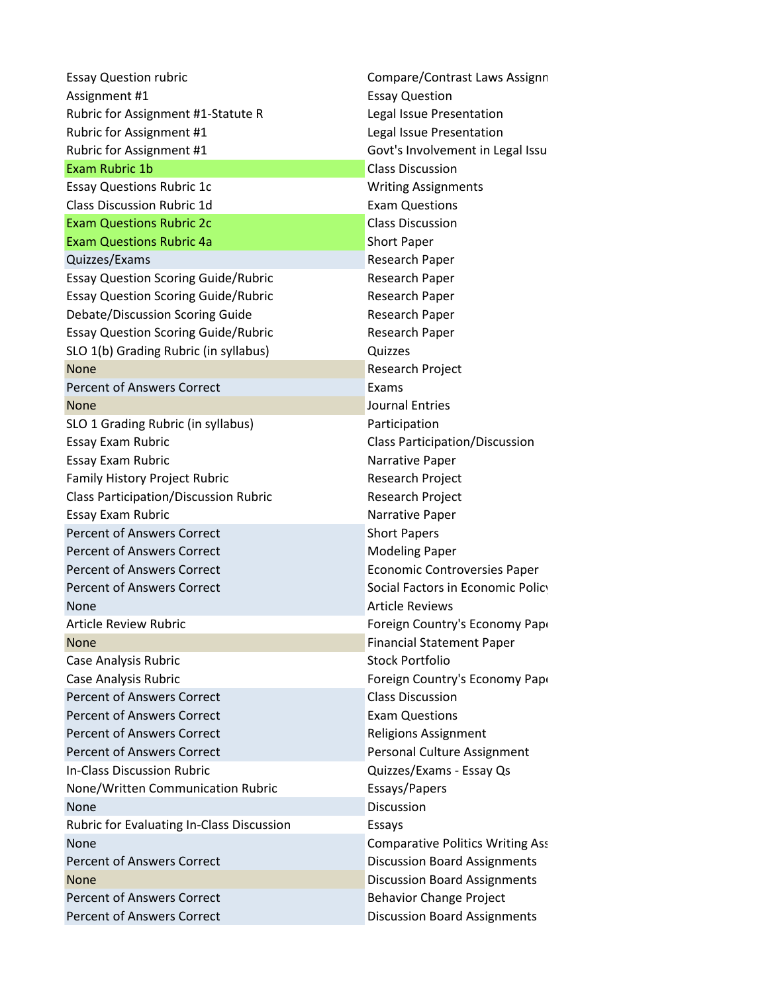| <b>Essay Question rubric</b>                 | Compare/Contrast Laws Assignn           |
|----------------------------------------------|-----------------------------------------|
| Assignment #1                                | <b>Essay Question</b>                   |
| Rubric for Assignment #1-Statute R           | Legal Issue Presentation                |
| Rubric for Assignment #1                     | Legal Issue Presentation                |
| Rubric for Assignment #1                     | Govt's Involvement in Legal Issu        |
| Exam Rubric 1b                               | <b>Class Discussion</b>                 |
| <b>Essay Questions Rubric 1c</b>             | <b>Writing Assignments</b>              |
| <b>Class Discussion Rubric 1d</b>            | <b>Exam Questions</b>                   |
| <b>Exam Questions Rubric 2c</b>              | <b>Class Discussion</b>                 |
| <b>Exam Questions Rubric 4a</b>              | <b>Short Paper</b>                      |
| Quizzes/Exams                                | Research Paper                          |
| <b>Essay Question Scoring Guide/Rubric</b>   | Research Paper                          |
| <b>Essay Question Scoring Guide/Rubric</b>   | Research Paper                          |
| Debate/Discussion Scoring Guide              | Research Paper                          |
| <b>Essay Question Scoring Guide/Rubric</b>   | Research Paper                          |
| SLO 1(b) Grading Rubric (in syllabus)        | Quizzes                                 |
| <b>None</b>                                  | Research Project                        |
| <b>Percent of Answers Correct</b>            | Exams                                   |
| <b>None</b>                                  | <b>Journal Entries</b>                  |
| SLO 1 Grading Rubric (in syllabus)           | Participation                           |
| Essay Exam Rubric                            | <b>Class Participation/Discussion</b>   |
| Essay Exam Rubric                            | Narrative Paper                         |
| Family History Project Rubric                | Research Project                        |
| <b>Class Participation/Discussion Rubric</b> | Research Project                        |
| Essay Exam Rubric                            | Narrative Paper                         |
| <b>Percent of Answers Correct</b>            | <b>Short Papers</b>                     |
| <b>Percent of Answers Correct</b>            | <b>Modeling Paper</b>                   |
| <b>Percent of Answers Correct</b>            | <b>Economic Controversies Paper</b>     |
| <b>Percent of Answers Correct</b>            | Social Factors in Economic Policy       |
| <b>None</b>                                  | <b>Article Reviews</b>                  |
| <b>Article Review Rubric</b>                 | Foreign Country's Economy Papi          |
| <b>None</b>                                  | <b>Financial Statement Paper</b>        |
| Case Analysis Rubric                         | <b>Stock Portfolio</b>                  |
| Case Analysis Rubric                         | Foreign Country's Economy Papi          |
| <b>Percent of Answers Correct</b>            | <b>Class Discussion</b>                 |
| <b>Percent of Answers Correct</b>            | <b>Exam Questions</b>                   |
| <b>Percent of Answers Correct</b>            | <b>Religions Assignment</b>             |
| <b>Percent of Answers Correct</b>            | Personal Culture Assignment             |
| <b>In-Class Discussion Rubric</b>            | Quizzes/Exams - Essay Qs                |
| None/Written Communication Rubric            | Essays/Papers                           |
| None                                         | Discussion                              |
| Rubric for Evaluating In-Class Discussion    | Essays                                  |
| <b>None</b>                                  | <b>Comparative Politics Writing Ass</b> |
| <b>Percent of Answers Correct</b>            | <b>Discussion Board Assignments</b>     |
| <b>None</b>                                  | <b>Discussion Board Assignments</b>     |
| <b>Percent of Answers Correct</b>            | <b>Behavior Change Project</b>          |
| <b>Percent of Answers Correct</b>            | <b>Discussion Board Assignments</b>     |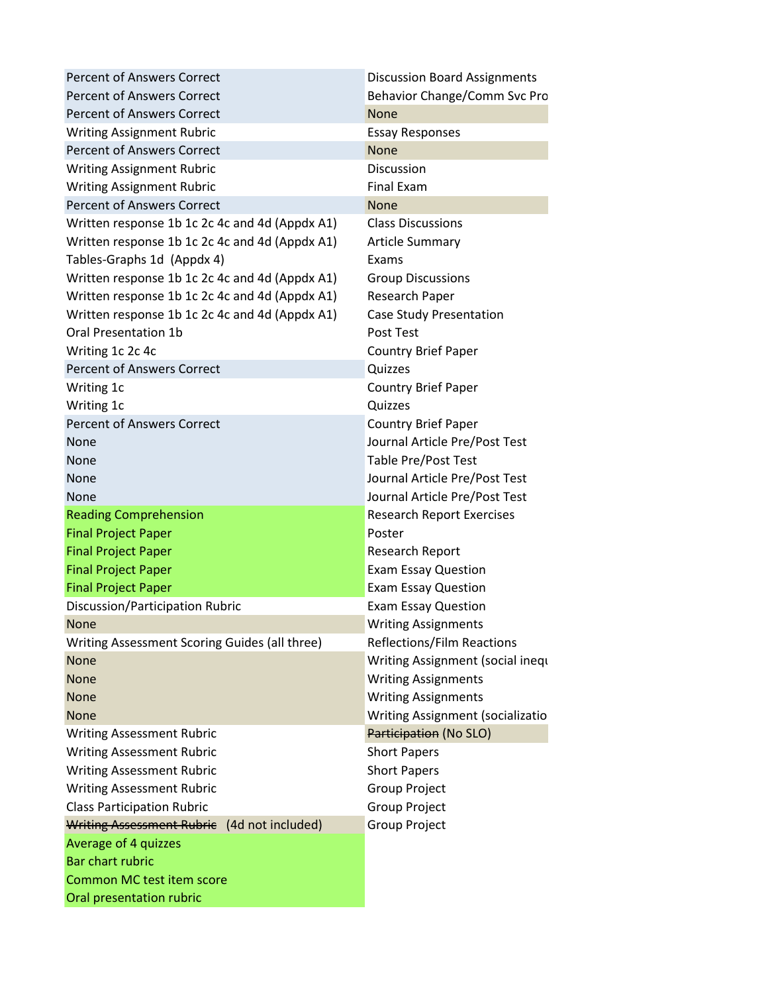| <b>Percent of Answers Correct</b>              | <b>Discussion Board Assignments</b> |
|------------------------------------------------|-------------------------------------|
| <b>Percent of Answers Correct</b>              | Behavior Change/Comm Svc Pro        |
| <b>Percent of Answers Correct</b>              | <b>None</b>                         |
| <b>Writing Assignment Rubric</b>               | <b>Essay Responses</b>              |
| <b>Percent of Answers Correct</b>              | <b>None</b>                         |
| <b>Writing Assignment Rubric</b>               | Discussion                          |
| <b>Writing Assignment Rubric</b>               | <b>Final Exam</b>                   |
| <b>Percent of Answers Correct</b>              | <b>None</b>                         |
| Written response 1b 1c 2c 4c and 4d (Appdx A1) | <b>Class Discussions</b>            |
| Written response 1b 1c 2c 4c and 4d (Appdx A1) | <b>Article Summary</b>              |
| Tables-Graphs 1d (Appdx 4)                     | Exams                               |
| Written response 1b 1c 2c 4c and 4d (Appdx A1) | <b>Group Discussions</b>            |
| Written response 1b 1c 2c 4c and 4d (Appdx A1) | Research Paper                      |
| Written response 1b 1c 2c 4c and 4d (Appdx A1) | <b>Case Study Presentation</b>      |
| <b>Oral Presentation 1b</b>                    | Post Test                           |
| Writing 1c 2c 4c                               | <b>Country Brief Paper</b>          |
| <b>Percent of Answers Correct</b>              | Quizzes                             |
| Writing 1c                                     | <b>Country Brief Paper</b>          |
| Writing 1c                                     | Quizzes                             |
| <b>Percent of Answers Correct</b>              | <b>Country Brief Paper</b>          |
| None                                           | Journal Article Pre/Post Test       |
| None                                           | Table Pre/Post Test                 |
| None                                           | Journal Article Pre/Post Test       |
| <b>None</b>                                    | Journal Article Pre/Post Test       |
| <b>Reading Comprehension</b>                   | <b>Research Report Exercises</b>    |
| <b>Final Project Paper</b>                     | Poster                              |
| <b>Final Project Paper</b>                     | <b>Research Report</b>              |
| <b>Final Project Paper</b>                     | <b>Exam Essay Question</b>          |
| <b>Final Project Paper</b>                     | <b>Exam Essay Question</b>          |
| Discussion/Participation Rubric                | <b>Exam Essay Question</b>          |
| <b>None</b>                                    | <b>Writing Assignments</b>          |
| Writing Assessment Scoring Guides (all three)  | Reflections/Film Reactions          |
| <b>None</b>                                    | Writing Assignment (social inequ    |
| None                                           | <b>Writing Assignments</b>          |
| None                                           | <b>Writing Assignments</b>          |
| <b>None</b>                                    | Writing Assignment (socializatio    |
| <b>Writing Assessment Rubric</b>               | Participation (No SLO)              |
| <b>Writing Assessment Rubric</b>               | <b>Short Papers</b>                 |
| <b>Writing Assessment Rubric</b>               | <b>Short Papers</b>                 |
| <b>Writing Assessment Rubric</b>               | Group Project                       |
| <b>Class Participation Rubric</b>              | <b>Group Project</b>                |
| Writing Assessment Rubrie (4d not included)    | <b>Group Project</b>                |
| Average of 4 quizzes                           |                                     |
| Bar chart rubric                               |                                     |
| Common MC test item score                      |                                     |
| Oral presentation rubric                       |                                     |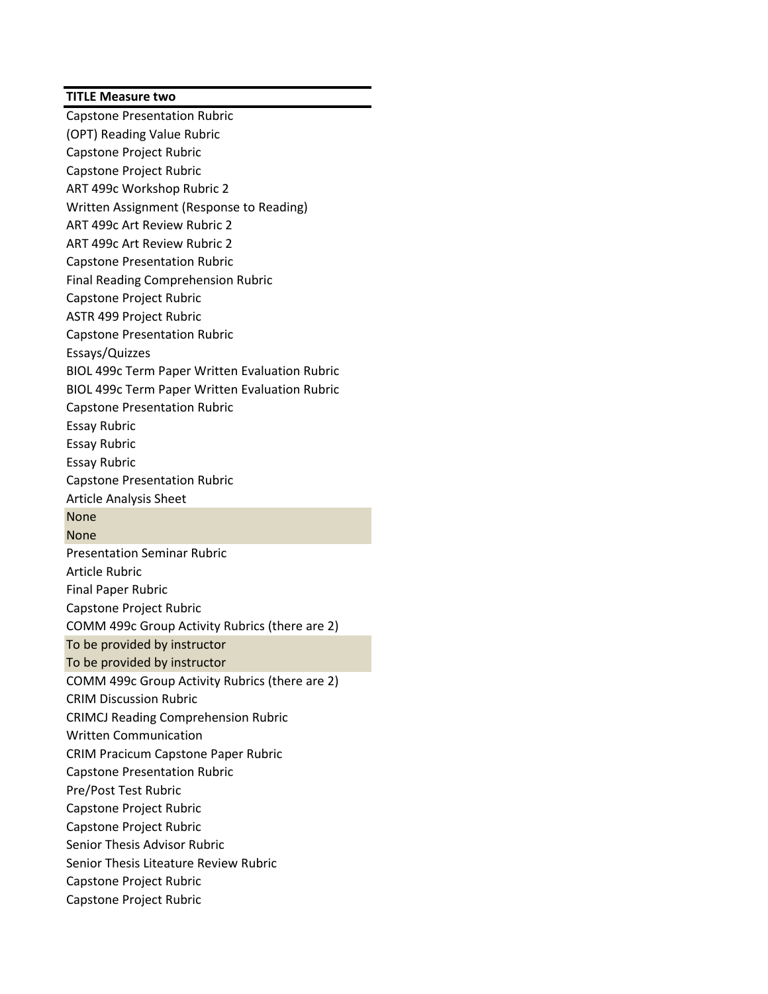## **TITLE Measure two**

Capstone Presentation Rubric (OPT) Reading Value Rubric Capstone Project Rubric Capstone Project Rubric ART 499c Workshop Rubric 2 Written Assignment (Response to Reading) ART 499c Art Review Rubric 2 ART 499c Art Review Rubric 2 Capstone Presentation Rubric Final Reading Comprehension Rubric Capstone Project Rubric ASTR 499 Project Rubric Capstone Presentation Rubric Essays/Quizzes BIOL 499c Term Paper Written Evaluation Rubric BIOL 499c Term Paper Written Evaluation Rubric Capstone Presentation Rubric Essay Rubric Essay Rubric Essay Rubric Capstone Presentation Rubric Article Analysis Sheet None None Presentation Seminar Rubric Article Rubric Final Paper Rubric Capstone Project Rubric COMM 499c Group Activity Rubrics (there are 2) To be provided by instructor To be provided by instructor COMM 499c Group Activity Rubrics (there are 2) CRIM Discussion Rubric CRIMCJ Reading Comprehension Rubric Written Communication CRIM Pracicum Capstone Paper Rubric Capstone Presentation Rubric Pre/Post Test Rubric Capstone Project Rubric Capstone Project Rubric Senior Thesis Advisor Rubric Senior Thesis Liteature Review Rubric Capstone Project Rubric Capstone Project Rubric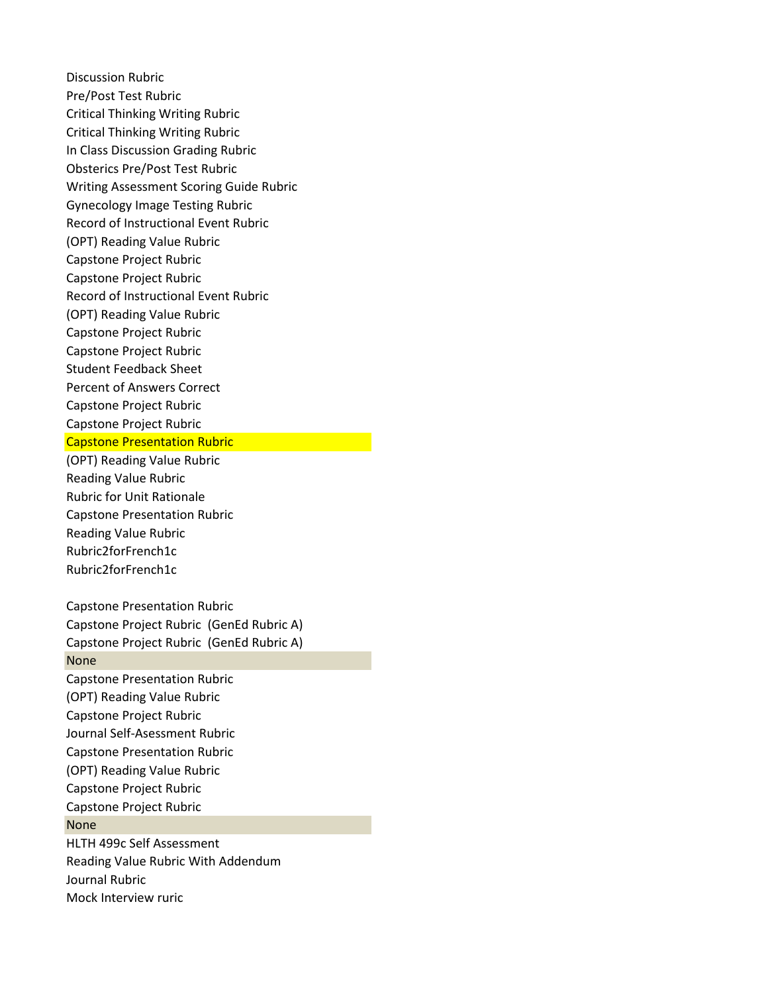Discussion Rubric Pre/Post Test Rubric Critical Thinking Writing Rubric Critical Thinking Writing Rubric In Class Discussion Grading Rubric Obsterics Pre/Post Test Rubric Writing Assessment Scoring Guide Rubric Gynecology Image Testing Rubric Record of Instructional Event Rubric (OPT) Reading Value Rubric Capstone Project Rubric Capstone Project Rubric Record of Instructional Event Rubric (OPT) Reading Value Rubric Capstone Project Rubric Capstone Project Rubric Student Feedback Sheet Percent of Answers Correct Capstone Project Rubric Capstone Project Rubric Capstone Presentation Rubric

(OPT) Reading Value Rubric Reading Value Rubric Rubric for Unit Rationale Capstone Presentation Rubric Reading Value Rubric Rubric2forFrench1c Rubric2forFrench1c

Capstone Presentation Rubric Capstone Project Rubric (GenEd Rubric A) Capstone Project Rubric (GenEd Rubric A) None Capstone Presentation Rubric (OPT) Reading Value Rubric Capstone Project Rubric Journal Self-Asessment Rubric Capstone Presentation Rubric (OPT) Reading Value Rubric Capstone Project Rubric Capstone Project Rubric None HLTH 499c Self Assessment Reading Value Rubric With Addendum Journal Rubric Mock Interview ruric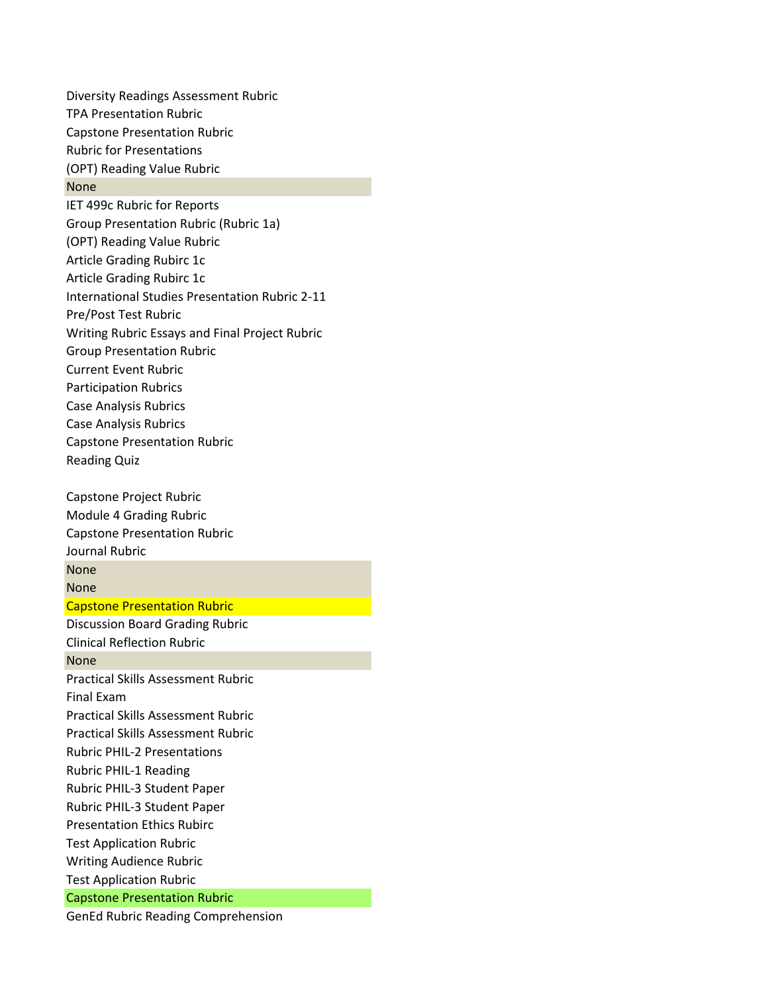Diversity Readings Assessment Rubric TPA Presentation Rubric Capstone Presentation Rubric Rubric for Presentations (OPT) Reading Value Rubric None IET 499c Rubric for Reports Group Presentation Rubric (Rubric 1a) (OPT) Reading Value Rubric Article Grading Rubirc 1c Article Grading Rubirc 1c International Studies Presentation Rubric 2-11 Pre/Post Test Rubric Writing Rubric Essays and Final Project Rubric Group Presentation Rubric Current Event Rubric Participation Rubrics Case Analysis Rubrics Case Analysis Rubrics Capstone Presentation Rubric Reading Quiz Capstone Project Rubric Module 4 Grading Rubric Capstone Presentation Rubric Journal Rubric None None Capstone Presentation Rubric Discussion Board Grading Rubric Clinical Reflection Rubric None Practical Skills Assessment Rubric Final Exam Practical Skills Assessment Rubric Practical Skills Assessment Rubric Rubric PHIL-2 Presentations Rubric PHIL-1 Reading

Test Application Rubric Capstone Presentation Rubric

Rubric PHIL-3 Student Paper Rubric PHIL-3 Student Paper Presentation Ethics Rubirc Test Application Rubric Writing Audience Rubric

GenEd Rubric Reading Comprehension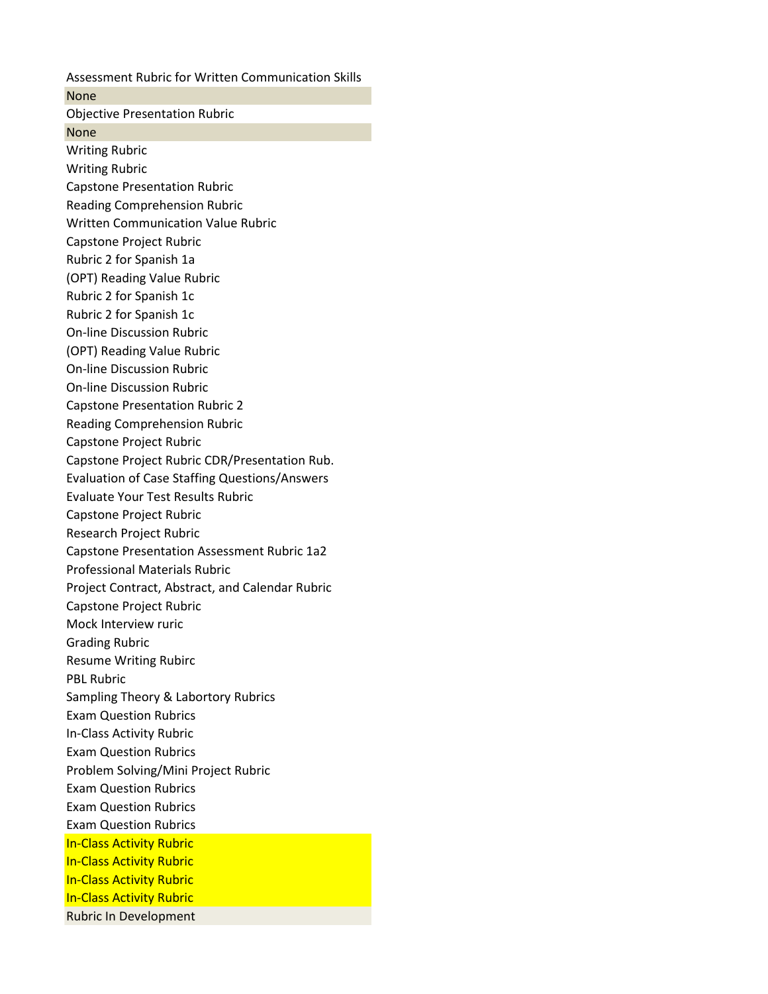Assessment Rubric for Written Communication Skills None Objective Presentation Rubric None Writing Rubric Writing Rubric Capstone Presentation Rubric Reading Comprehension Rubric Written Communication Value Rubric Capstone Project Rubric Rubric 2 for Spanish 1a (OPT) Reading Value Rubric Rubric 2 for Spanish 1c Rubric 2 for Spanish 1c On-line Discussion Rubric (OPT) Reading Value Rubric On-line Discussion Rubric On-line Discussion Rubric Capstone Presentation Rubric 2 Reading Comprehension Rubric Capstone Project Rubric Capstone Project Rubric CDR/Presentation Rub. Evaluation of Case Staffing Questions/Answers Evaluate Your Test Results Rubric Capstone Project Rubric Research Project Rubric Capstone Presentation Assessment Rubric 1a2 Professional Materials Rubric Project Contract, Abstract, and Calendar Rubric Capstone Project Rubric Mock Interview ruric Grading Rubric Resume Writing Rubirc PBL Rubric Sampling Theory & Labortory Rubrics Exam Question Rubrics In-Class Activity Rubric Exam Question Rubrics Problem Solving/Mini Project Rubric Exam Question Rubrics Exam Question Rubrics Exam Question Rubrics In-Class Activity Rubric In-Class Activity Rubric In-Class Activity Rubric In-Class Activity Rubric Rubric In Development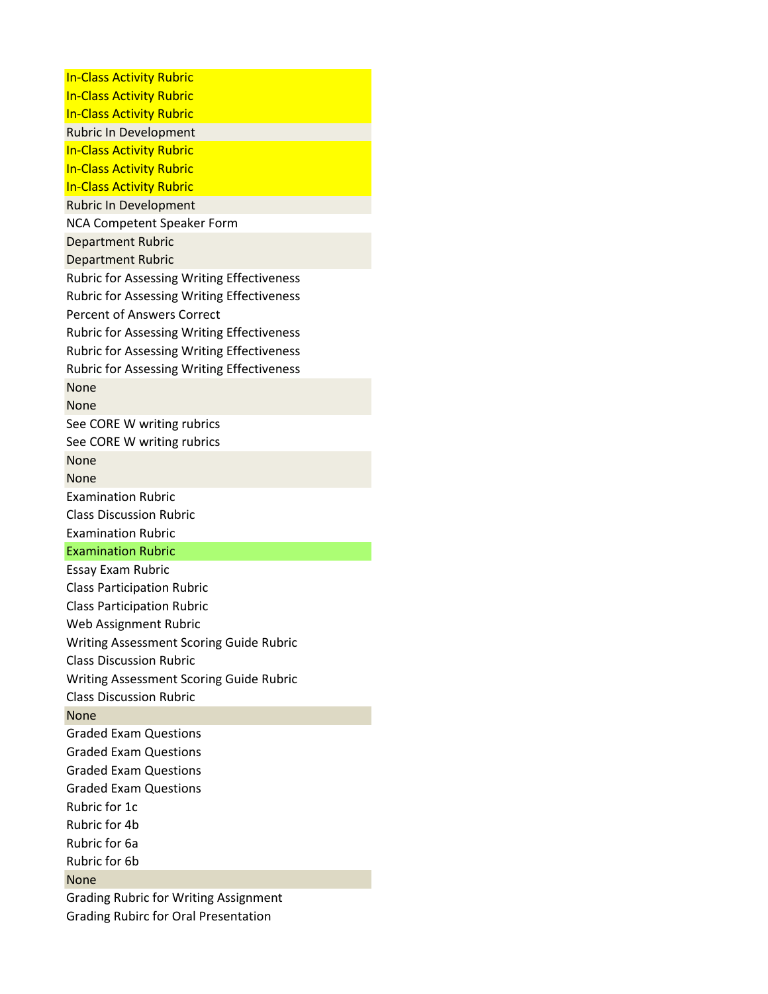| <b>In-Class Activity Rubric</b>                   |
|---------------------------------------------------|
| <b>In-Class Activity Rubric</b>                   |
| <b>In-Class Activity Rubric</b>                   |
| <b>Rubric In Development</b>                      |
| <b>In-Class Activity Rubric</b>                   |
| <b>In-Class Activity Rubric</b>                   |
| <b>In-Class Activity Rubric</b>                   |
| <b>Rubric In Development</b>                      |
| <b>NCA Competent Speaker Form</b>                 |
| <b>Department Rubric</b>                          |
| <b>Department Rubric</b>                          |
| <b>Rubric for Assessing Writing Effectiveness</b> |
| <b>Rubric for Assessing Writing Effectiveness</b> |
| <b>Percent of Answers Correct</b>                 |
| <b>Rubric for Assessing Writing Effectiveness</b> |
| <b>Rubric for Assessing Writing Effectiveness</b> |
| <b>Rubric for Assessing Writing Effectiveness</b> |
| None                                              |
| None                                              |
| See CORE W writing rubrics                        |
| See CORE W writing rubrics                        |
| None                                              |
| None                                              |
| <b>Examination Rubric</b>                         |
|                                                   |
| <b>Class Discussion Rubric</b>                    |
| <b>Examination Rubric</b>                         |
| <b>Examination Rubric</b>                         |
| <b>Essay Exam Rubric</b>                          |
| <b>Class Participation Rubric</b>                 |
| <b>Class Participation Rubric</b>                 |
| Web Assignment Rubric                             |
| <b>Writing Assessment Scoring Guide Rubric</b>    |
| <b>Class Discussion Rubric</b>                    |
| Writing Assessment Scoring Guide Rubric           |
| <b>Class Discussion Rubric</b>                    |
| None                                              |
| <b>Graded Exam Questions</b>                      |
| <b>Graded Exam Questions</b>                      |
| <b>Graded Exam Questions</b>                      |
| <b>Graded Exam Questions</b>                      |
| Rubric for 1c                                     |
| Rubric for 4b                                     |
| Rubric for 6a                                     |
| Rubric for 6b                                     |
| None                                              |
| <b>Grading Rubric for Writing Assignment</b>      |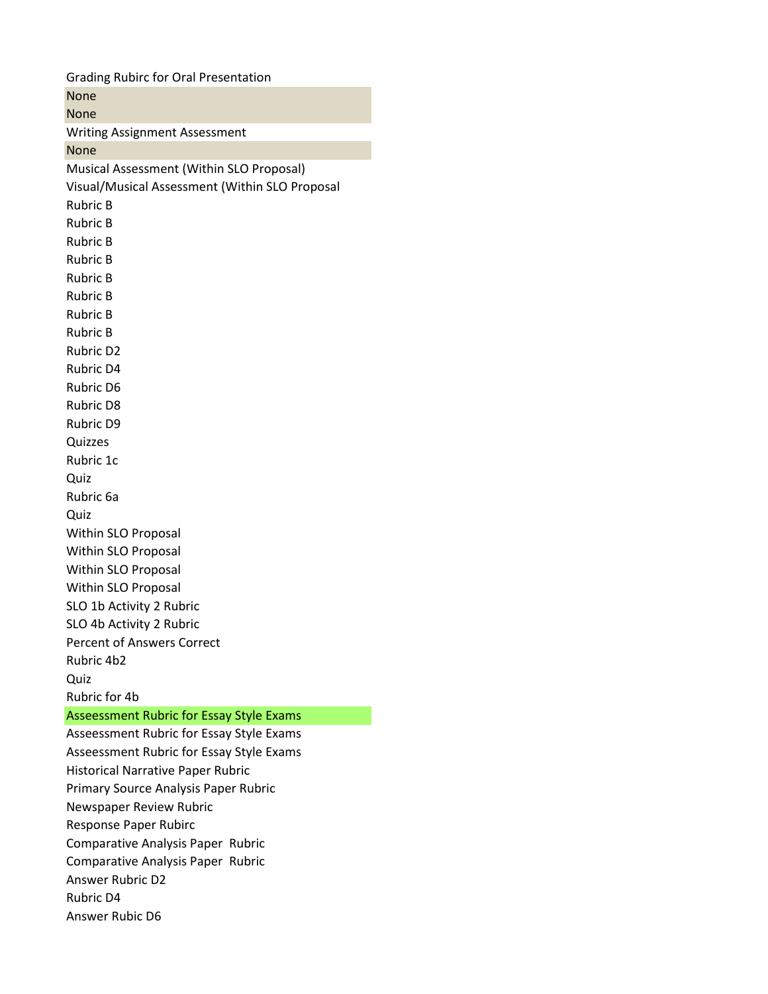Grading Rubirc for Oral Presentation None None Writing Assignment Assessment None Musical Assessment (Within SLO Proposal) Visual/Musical Assessment (Within SLO Proposal Rubric B Rubric B Rubric B Rubric B Rubric B Rubric B Rubric B Rubric B Rubric D2 Rubric D4 Rubric D6 Rubric D8 Rubric D9 Quizzes Rubric 1c Quiz Rubric 6a Quiz Within SLO Proposal Within SLO Proposal Within SLO Proposal Within SLO Proposal SLO 1b Activity 2 Rubric SLO 4b Activity 2 Rubric Percent of Answers Correct Rubric 4b2 Quiz Rubric for 4b Asseessment Rubric for Essay Style Exams Asseessment Rubric for Essay Style Exams Asseessment Rubric for Essay Style Exams Historical Narrative Paper Rubric Primary Source Analysis Paper Rubric Newspaper Review Rubric Response Paper Rubirc Comparative Analysis Paper Rubric Comparative Analysis Paper Rubric Answer Rubric D2 Rubric D4 Answer Rubic D6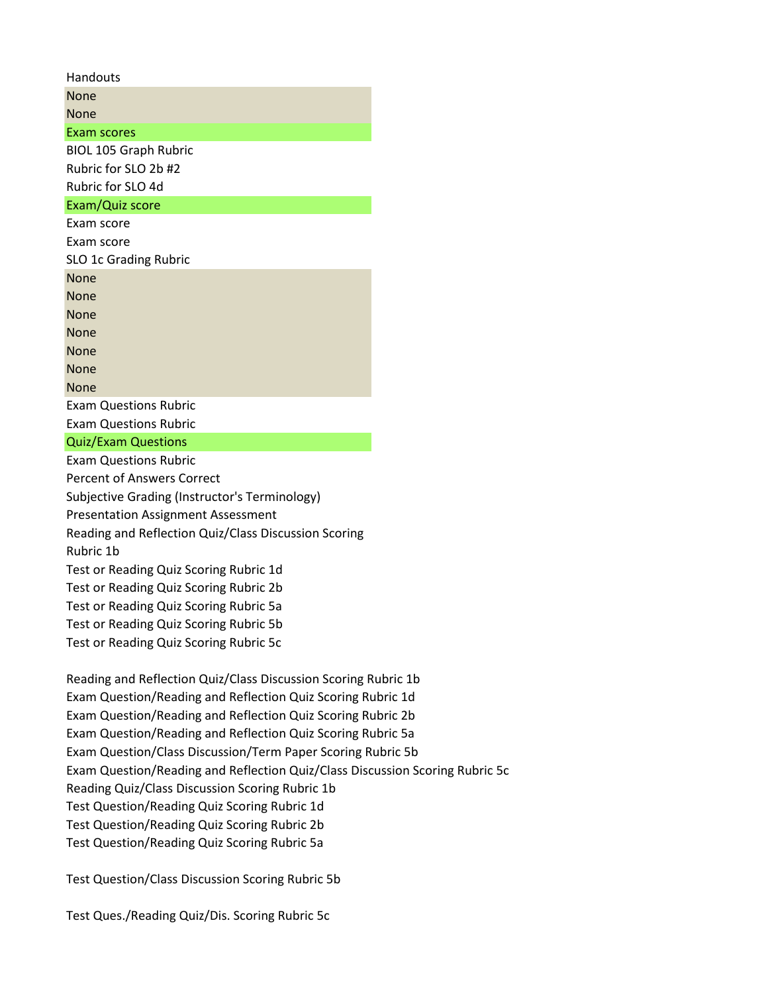| Handouts                                             |
|------------------------------------------------------|
| None                                                 |
| None                                                 |
| Exam scores                                          |
| <b>BIOL 105 Graph Rubric</b>                         |
| Rubric for SLO 2b #2                                 |
| Rubric for SLO 4d                                    |
| Exam/Quiz score                                      |
| Exam score                                           |
| Exam score                                           |
| SLO 1c Grading Rubric                                |
| None                                                 |
| None                                                 |
| None                                                 |
| None                                                 |
| None                                                 |
| None                                                 |
| None                                                 |
| <b>Exam Questions Rubric</b>                         |
| <b>Exam Questions Rubric</b>                         |
| <b>Quiz/Exam Questions</b>                           |
| <b>Exam Questions Rubric</b>                         |
| <b>Percent of Answers Correct</b>                    |
| Subjective Grading (Instructor's Terminology)        |
| <b>Presentation Assignment Assessment</b>            |
| Reading and Reflection Quiz/Class Discussion Scoring |

Rubric 1b

Test or Reading Quiz Scoring Rubric 1d

Test or Reading Quiz Scoring Rubric 2b

Test or Reading Quiz Scoring Rubric 5a

Test or Reading Quiz Scoring Rubric 5b Test or Reading Quiz Scoring Rubric 5c

Reading and Reflection Quiz/Class Discussion Scoring Rubric 1b Exam Question/Reading and Reflection Quiz Scoring Rubric 1d Exam Question/Reading and Reflection Quiz Scoring Rubric 2b Exam Question/Reading and Reflection Quiz Scoring Rubric 5a Exam Question/Class Discussion/Term Paper Scoring Rubric 5b Exam Question/Reading and Reflection Quiz/Class Discussion Scoring Rubric 5c Reading Quiz/Class Discussion Scoring Rubric 1b Test Question/Reading Quiz Scoring Rubric 1d Test Question/Reading Quiz Scoring Rubric 2b Test Question/Reading Quiz Scoring Rubric 5a

Test Question/Class Discussion Scoring Rubric 5b

Test Ques./Reading Quiz/Dis. Scoring Rubric 5c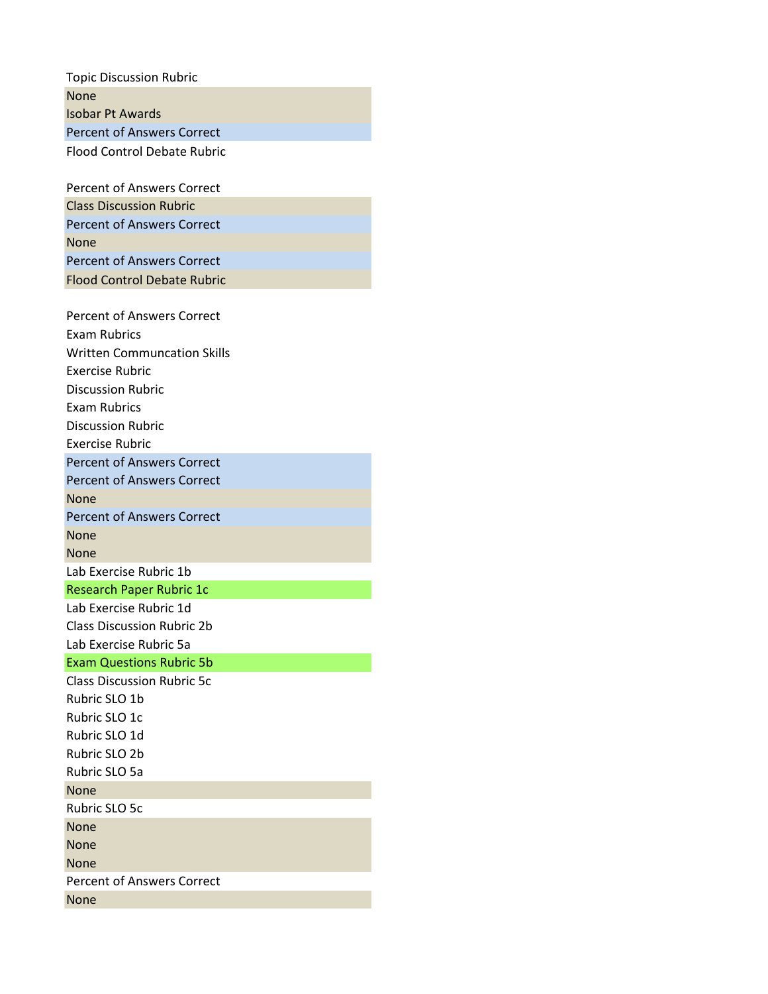| <b>Topic Discussion Rubric</b>     |
|------------------------------------|
| None                               |
| <b>Isobar Pt Awards</b>            |
| <b>Percent of Answers Correct</b>  |
| <b>Flood Control Debate Rubric</b> |
|                                    |
| <b>Percent of Answers Correct</b>  |
| <b>Class Discussion Rubric</b>     |
| <b>Percent of Answers Correct</b>  |
| None                               |
| <b>Percent of Answers Correct</b>  |
| <b>Flood Control Debate Rubric</b> |
|                                    |
| <b>Percent of Answers Correct</b>  |
| <b>Fxam Rubrics</b>                |
| <b>Written Communcation Skills</b> |
| <b>Exercise Rubric</b>             |
| <b>Discussion Rubric</b>           |
| Exam Rubrics                       |
| <b>Discussion Rubric</b>           |
| <b>Exercise Rubric</b>             |
| <b>Percent of Answers Correct</b>  |
| <b>Percent of Answers Correct</b>  |
| None                               |
| <b>Percent of Answers Correct</b>  |
| None                               |
| None                               |
| Lab Exercise Rubric 1b             |
| <b>Research Paper Rubric 1c</b>    |
| Lab Exercise Rubric 1d             |
| <b>Class Discussion Rubric 2b</b>  |
| Lab Exercise Rubric 5a             |
| <b>Exam Questions Rubric 5b</b>    |
| <b>Class Discussion Rubric 5c</b>  |
| Rubric SLO 1b                      |
| Rubric SLO 1c                      |
| Rubric SLO 1d                      |
| Rubric SLO 2b                      |
| Rubric SLO 5a                      |
| <b>None</b>                        |
| Rubric SLO 5c                      |
| None                               |
| None                               |
| None                               |
| <b>Percent of Answers Correct</b>  |
| None                               |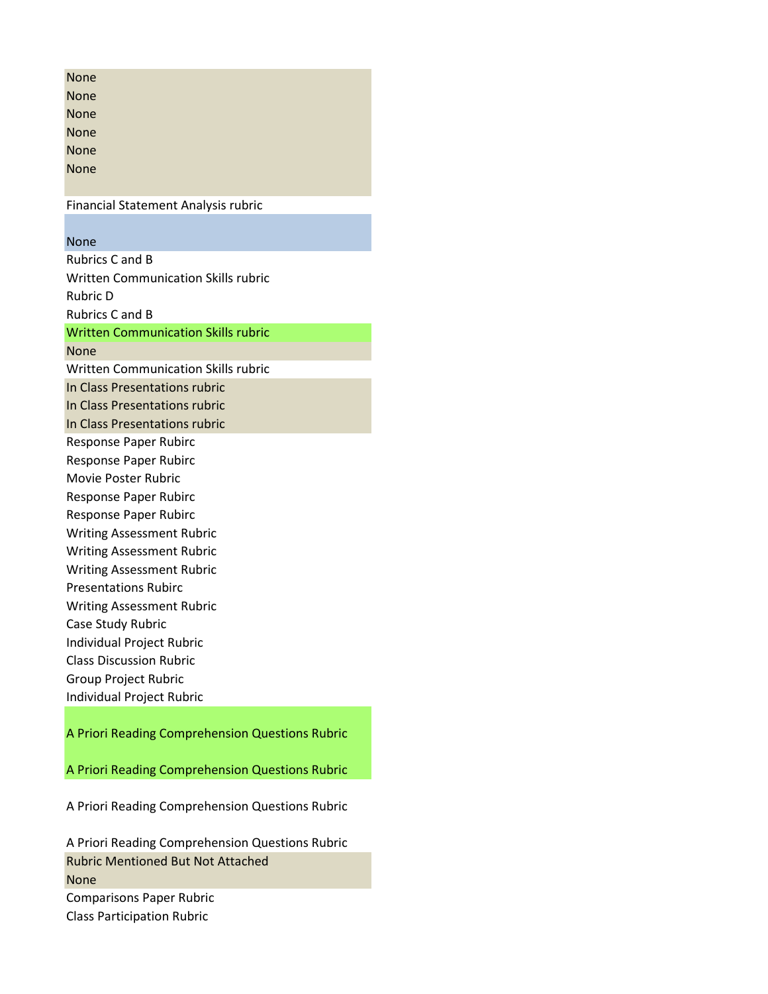| <b>None</b>                                                 |
|-------------------------------------------------------------|
| None                                                        |
| None                                                        |
| <b>None</b>                                                 |
| None                                                        |
| None                                                        |
|                                                             |
| <b>Financial Statement Analysis rubric</b>                  |
|                                                             |
| None                                                        |
| <b>Rubrics C and B</b>                                      |
| <b>Written Communication Skills rubric</b>                  |
| <b>Rubric D</b>                                             |
| <b>Rubrics C and B</b>                                      |
| <b>Written Communication Skills rubric</b>                  |
| None                                                        |
| Written Communication Skills rubric                         |
| In Class Presentations rubric                               |
| In Class Presentations rubric                               |
| In Class Presentations rubric                               |
| Response Paper Rubirc                                       |
| <b>Response Paper Rubirc</b>                                |
| Movie Poster Rubric                                         |
| Response Paper Rubirc                                       |
| Response Paper Rubirc                                       |
| <b>Writing Assessment Rubric</b>                            |
| <b>Writing Assessment Rubric</b>                            |
| <b>Writing Assessment Rubric</b>                            |
| <b>Presentations Rubirc</b>                                 |
| <b>Writing Assessment Rubric</b>                            |
| Case Study Rubric                                           |
| Individual Project Rubric<br><b>Class Discussion Rubric</b> |
|                                                             |
| <b>Group Project Rubric</b>                                 |
| Individual Project Rubric                                   |
| A Priori Reading Comprehension Questions Rubric             |

A Priori Reading Comprehension Questions Rubric

A Priori Reading Comprehension Questions Rubric

A Priori Reading Comprehension Questions Rubric Rubric Mentioned But Not Attached None Comparisons Paper Rubric Class Participation Rubric